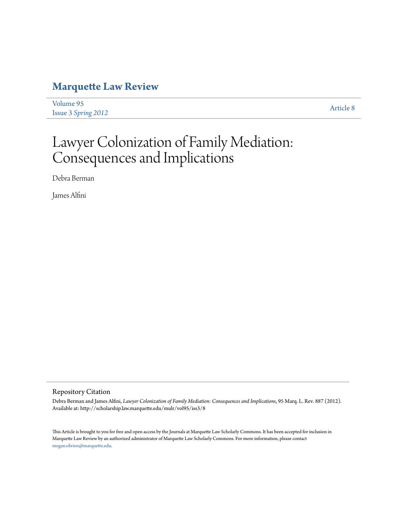# **[Marquette Law Review](http://scholarship.law.marquette.edu/mulr)**

[Volume 95](http://scholarship.law.marquette.edu/mulr/vol95) Issue 3 *[Spring 2012](http://scholarship.law.marquette.edu/mulr/vol95/iss3)* [Article 8](http://scholarship.law.marquette.edu/mulr/vol95/iss3/8)

# Lawyer Colonization of Family Mediation: Consequences and Implications

Debra Berman

James Alfini

# Repository Citation

Debra Berman and James Alfini, *Lawyer Colonization of Family Mediation: Consequences and Implications*, 95 Marq. L. Rev. 887 (2012). Available at: http://scholarship.law.marquette.edu/mulr/vol95/iss3/8

This Article is brought to you for free and open access by the Journals at Marquette Law Scholarly Commons. It has been accepted for inclusion in Marquette Law Review by an authorized administrator of Marquette Law Scholarly Commons. For more information, please contact [megan.obrien@marquette.edu.](mailto:megan.obrien@marquette.edu)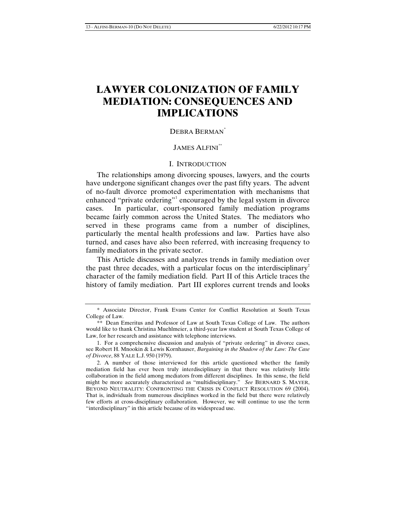# **LAWYER COLONIZATION OF FAMILY MEDIATION: CONSEQUENCES AND IMPLICATIONS**

# DEBRA BERMAN<sup>[\\*](#page-1-0)</sup>

# JAMES ALFINI[\\*\\*](#page-1-1)

# I. INTRODUCTION

The relationships among divorcing spouses, lawyers, and the courts have undergone significant changes over the past fifty years. The advent of no-fault divorce promoted experimentation with mechanisms that enhanced "private ordering"<sup>[1](#page-1-2)</sup> encouraged by the legal system in divorce cases. In particular, court-sponsored family mediation programs became fairly common across the United States. The mediators who served in these programs came from a number of disciplines, particularly the mental health professions and law. Parties have also turned, and cases have also been referred, with increasing frequency to family mediators in the private sector.

This Article discusses and analyzes trends in family mediation over the past three decades, with a particular focus on the interdisciplinary<sup>[2](#page-1-3)</sup> character of the family mediation field. Part II of this Article traces the history of family mediation. Part III explores current trends and looks

<span id="page-1-0"></span><sup>\*</sup> Associate Director, Frank Evans Center for Conflict Resolution at South Texas College of Law.

<span id="page-1-1"></span><sup>\*\*</sup> Dean Emeritus and Professor of Law at South Texas College of Law. The authors would like to thank Christina Muehlmeier, a third-year law student at South Texas College of Law, for her research and assistance with telephone interviews.

<span id="page-1-2"></span><sup>1.</sup> For a comprehensive discussion and analysis of "private ordering" in divorce cases, see Robert H. Mnookin & Lewis Kornhauser, *Bargaining in the Shadow of the Law: The Case of Divorce*, 88 YALE L.J. 950 (1979).

<span id="page-1-3"></span><sup>2.</sup> A number of those interviewed for this article questioned whether the family mediation field has ever been truly interdisciplinary in that there was relatively little collaboration in the field among mediators from different disciplines. In this sense, the field might be more accurately characterized as "multidisciplinary." *See* BERNARD S. MAYER, BEYOND NEUTRALITY: CONFRONTING THE CRISIS IN CONFLICT RESOLUTION 69 (2004). That is, individuals from numerous disciplines worked in the field but there were relatively few efforts at cross-disciplinary collaboration. However, we will continue to use the term "interdisciplinary" in this article because of its widespread use.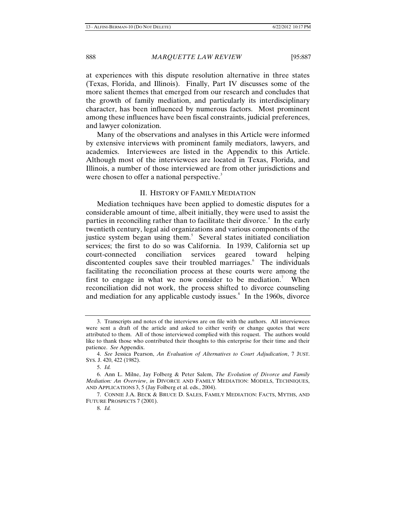at experiences with this dispute resolution alternative in three states (Texas, Florida, and Illinois). Finally, Part IV discusses some of the more salient themes that emerged from our research and concludes that the growth of family mediation, and particularly its interdisciplinary character, has been influenced by numerous factors. Most prominent among these influences have been fiscal constraints, judicial preferences, and lawyer colonization.

Many of the observations and analyses in this Article were informed by extensive interviews with prominent family mediators, lawyers, and academics. Interviewees are listed in the Appendix to this Article. Although most of the interviewees are located in Texas, Florida, and Illinois, a number of those interviewed are from other jurisdictions and were chosen to offer a national perspective.<sup>[3](#page-2-0)</sup>

## II. HISTORY OF FAMILY MEDIATION

Mediation techniques have been applied to domestic disputes for a considerable amount of time, albeit initially, they were used to assist the parties in reconciling rather than to facilitate their divorce.<sup>[4](#page-2-1)</sup> In the early twentieth century, legal aid organizations and various components of the justice system began using them.<sup>[5](#page-2-2)</sup> Several states initiated conciliation services; the first to do so was California. In 1939, California set up court-connected conciliation services geared toward helping discontented couples save their troubled marriages.<sup>[6](#page-2-3)</sup> The individuals facilitating the reconciliation process at these courts were among the first to engage in what we now consider to be mediation.<sup>[7](#page-2-4)</sup> When reconciliation did not work, the process shifted to divorce counseling and mediation for any applicable custody issues. $8$  In the 1960s, divorce

<span id="page-2-0"></span><sup>3.</sup> Transcripts and notes of the interviews are on file with the authors. All interviewees were sent a draft of the article and asked to either verify or change quotes that were attributed to them. All of those interviewed complied with this request. The authors would like to thank those who contributed their thoughts to this enterprise for their time and their patience. *See* Appendix.

<span id="page-2-1"></span><sup>4.</sup> *See* Jessica Pearson, *An Evaluation of Alternatives to Court Adjudication*, 7 JUST. SYS. J. 420, 422 (1982).

<sup>5.</sup> *Id.*

<span id="page-2-3"></span><span id="page-2-2"></span><sup>6.</sup> Ann L. Milne, Jay Folberg & Peter Salem, *The Evolution of Divorce and Family Mediation: An Overview*, *in* DIVORCE AND FAMILY MEDIATION: MODELS, TECHNIQUES, AND APPLICATIONS 3, 5 (Jay Folberg et al. eds., 2004).

<span id="page-2-5"></span><span id="page-2-4"></span><sup>7.</sup> CONNIE J.A. BECK & BRUCE D. SALES, FAMILY MEDIATION: FACTS, MYTHS, AND FUTURE PROSPECTS 7 (2001).

<sup>8.</sup> *Id.*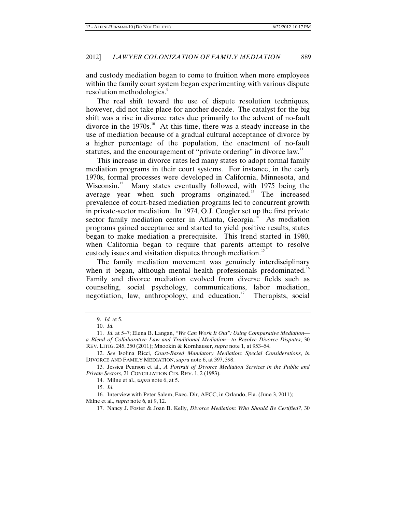and custody mediation began to come to fruition when more employees within the family court system began experimenting with various dispute resolution methodologies.<sup>[9](#page-3-0)</sup>

The real shift toward the use of dispute resolution techniques, however, did not take place for another decade. The catalyst for the big shift was a rise in divorce rates due primarily to the advent of no-fault divorce in the  $1970s$ .<sup>[10](#page-3-1)</sup> At this time, there was a steady increase in the use of mediation because of a gradual cultural acceptance of divorce by a higher percentage of the population, the enactment of no-fault statutes, and the encouragement of "private ordering" in divorce law.<sup>[11](#page-3-2)</sup>

This increase in divorce rates led many states to adopt formal family mediation programs in their court systems. For instance, in the early 1970s, formal processes were developed in California, Minnesota, and Wisconsin.<sup>[12](#page-3-3)</sup> Many states eventually followed, with 1975 being the average year when such programs originated.<sup>[13](#page-3-4)</sup> The increased prevalence of court-based mediation programs led to concurrent growth in private-sector mediation. In 1974, O.J. Coogler set up the first private sector family mediation center in Atlanta, Georgia. $4\text{ A}$  As mediation programs gained acceptance and started to yield positive results, states began to make mediation a prerequisite. This trend started in 1980, when California began to require that parents attempt to resolve custody issues and visitation disputes through mediation.<sup>[15](#page-3-6)</sup>

The family mediation movement was genuinely interdisciplinary when it began, although mental health professionals predominated.<sup>16</sup> Family and divorce mediation evolved from diverse fields such as counseling, social psychology, communications, labor mediation, negotiation, law, anthropology, and education. [17](#page-3-8) Therapists, social

14. Milne et al., *supra* note 6, at 5.

15. *Id.*

<span id="page-3-8"></span><span id="page-3-7"></span><span id="page-3-6"></span>16. Interview with Peter Salem, Exec. Dir, AFCC, in Orlando, Fla. (June 3, 2011); Milne et al., *supra* note 6, at 9, 12.

<sup>9.</sup> *Id.* at 5*.*

<sup>10.</sup> *Id.*

<span id="page-3-2"></span><span id="page-3-1"></span><span id="page-3-0"></span><sup>11.</sup> *Id.* at 5–7; Elena B. Langan, *"We Can Work It Out": Using Comparative Mediation a Blend of Collaborative Law and Traditional Mediation—to Resolve Divorce Disputes*, 30 REV. LITIG. 245, 250 (2011); Mnookin & Kornhauser, *supra* note 1, at 953–54.

<span id="page-3-3"></span><sup>12.</sup> *See* Isolina Ricci, *Court-Based Mandatory Mediation: Special Considerations*, *in*  DIVORCE AND FAMILY MEDIATION, *supra* note 6, at 397, 398.

<span id="page-3-5"></span><span id="page-3-4"></span><sup>13.</sup> Jessica Pearson et al., *A Portrait of Divorce Mediation Services in the Public and Private Sectors*, 21 CONCILIATION CTS. REV. 1, 2 (1983).

<sup>17.</sup> Nancy J. Foster & Joan B. Kelly, *Divorce Mediation: Who Should Be Certified?*, 30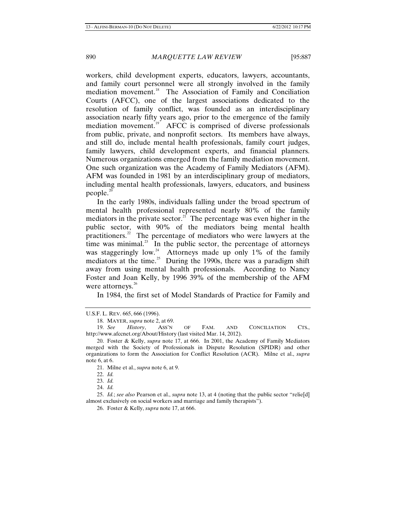workers, child development experts, educators, lawyers, accountants, and family court personnel were all strongly involved in the family mediation movement.<sup>[18](#page-4-0)</sup> The Association of Family and Conciliation Courts (AFCC), one of the largest associations dedicated to the resolution of family conflict, was founded as an interdisciplinary association nearly fifty years ago, prior to the emergence of the family mediation movement.<sup>[19](#page-4-1)</sup> AFCC is comprised of diverse professionals from public, private, and nonprofit sectors. Its members have always, and still do, include mental health professionals, family court judges, family lawyers, child development experts, and financial planners. Numerous organizations emerged from the family mediation movement. One such organization was the Academy of Family Mediators (AFM). AFM was founded in 1981 by an interdisciplinary group of mediators, including mental health professionals, lawyers, educators, and business people. $20$ 

In the early 1980s, individuals falling under the broad spectrum of mental health professional represented nearly 80% of the family mediators in the private sector.<sup>[21](#page-4-3)</sup> The percentage was even higher in the public sector, with 90% of the mediators being mental health practitioners.<sup>[22](#page-4-4)</sup> The percentage of mediators who were lawyers at the time was minimal. $^{23}$  $^{23}$  $^{23}$  In the public sector, the percentage of attorneys was staggeringly  $low.^{24}$  $low.^{24}$  $low.^{24}$  Attorneys made up only 1% of the family mediators at the time.<sup>[25](#page-4-7)</sup> During the 1990s, there was a paradigm shift away from using mental health professionals. According to Nancy Foster and Joan Kelly, by 1996 39% of the membership of the AFM were attorneys.<sup>[26](#page-4-8)</sup>

In 1984, the first set of Model Standards of Practice for Family and

<span id="page-4-0"></span>U.S.F. L. REV. 665, 666 (1996).

<sup>18.</sup> MAYER, *supra* note 2, at 69.

<span id="page-4-1"></span><sup>19.</sup> *See History*, ASS'N OF FAM. AND CONCILIATION CTS., http://www.afccnet.org/About/History (last visited Mar. 14, 2012).

<span id="page-4-3"></span><span id="page-4-2"></span><sup>20.</sup> Foster & Kelly, *supra* note 17, at 666. In 2001, the Academy of Family Mediators merged with the Society of Professionals in Dispute Resolution (SPIDR) and other organizations to form the Association for Conflict Resolution (ACR). Milne et al., *supra* note 6, at 6.

<sup>21.</sup> Milne et al., *supra* note 6, at 9.

<sup>22.</sup> *Id.*

<sup>23.</sup> *Id.*

<sup>24.</sup> *Id.*

<span id="page-4-8"></span><span id="page-4-7"></span><span id="page-4-6"></span><span id="page-4-5"></span><span id="page-4-4"></span><sup>25.</sup> *Id.*; *see also* Pearson et al., *supra* note 13, at 4 (noting that the public sector "relie[d] almost exclusively on social workers and marriage and family therapists").

<sup>26.</sup> Foster & Kelly, *supra* note 17, at 666.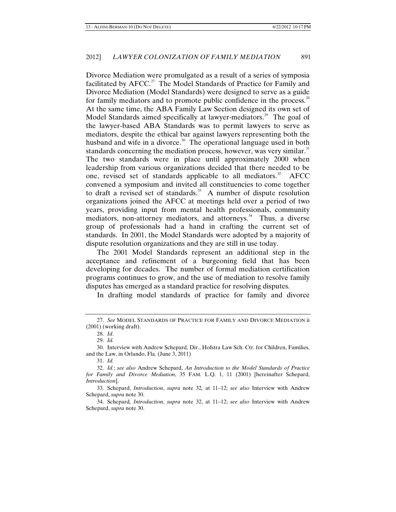Divorce Mediation were promulgated as a result of a series of symposia facilitated by  $AFCC<sup>27</sup>$  $AFCC<sup>27</sup>$  $AFCC<sup>27</sup>$  The Model Standards of Practice for Family and Divorce Mediation (Model Standards) were designed to serve as a guide for family mediators and to promote public confidence in the process. $28$ At the same time, the ABA Family Law Section designed its own set of Model Standards aimed specifically at lawyer-mediators.<sup>[29](#page-5-2)</sup> The goal of the lawyer-based ABA Standards was to permit lawyers to serve as mediators, despite the ethical bar against lawyers representing both the husband and wife in a divorce.<sup>[30](#page-5-3)</sup> The operational language used in both standards concerning the mediation process, however, was very similar.<sup>[31](#page-5-4)</sup> The two standards were in place until approximately 2000 when leadership from various organizations decided that there needed to be one, revised set of standards applicable to all mediators.<sup>[32](#page-5-5)</sup> AFCC convened a symposium and invited all constituencies to come together to draft a revised set of standards.<sup>[33](#page-5-6)</sup> A number of dispute resolution organizations joined the AFCC at meetings held over a period of two years, providing input from mental health professionals, community mediators, non-attorney mediators, and attorneys.<sup>[34](#page-5-7)</sup> Thus, a diverse group of professionals had a hand in crafting the current set of standards. In 2001, the Model Standards were adopted by a majority of dispute resolution organizations and they are still in use today.

The 2001 Model Standards represent an additional step in the acceptance and refinement of a burgeoning field that has been developing for decades. The number of formal mediation certification programs continues to grow, and the use of mediation to resolve family disputes has emerged as a standard practice for resolving disputes.

In drafting model standards of practice for family and divorce

<span id="page-5-1"></span><span id="page-5-0"></span><sup>27.</sup> *See* MODEL STANDARDS OF PRACTICE FOR FAMILY AND DIVORCE MEDIATION ii (2001) (working draft).

<sup>28.</sup> *Id*.

<sup>29.</sup> *Id.*

<span id="page-5-3"></span><span id="page-5-2"></span><sup>30.</sup> Interview with Andrew Schepard, Dir., Hofstra Law Sch. Ctr. for Children, Families, and the Law, in Orlando, Fla. (June 3, 2011)

<sup>31.</sup> *Id.*

<span id="page-5-5"></span><span id="page-5-4"></span><sup>32.</sup> *Id.*; *see also* Andrew Schepard, *An Introduction to the Model Standards of Practice for Family and Divorce Mediation*, 35 FAM. L.Q. 1, 11 (2001) [hereinafter Schepard, *Introduction*].

<span id="page-5-6"></span><sup>33.</sup> Schepard, *Introduction*, *supra* note 32*,* at 11–12; *see also* Interview with Andrew Schepard, *supra* note 30.

<span id="page-5-7"></span><sup>34.</sup> Schepard*, Introduction*, *supra* note 32, at 11–12; *see also* Interview with Andrew Schepard, *supra* note 30.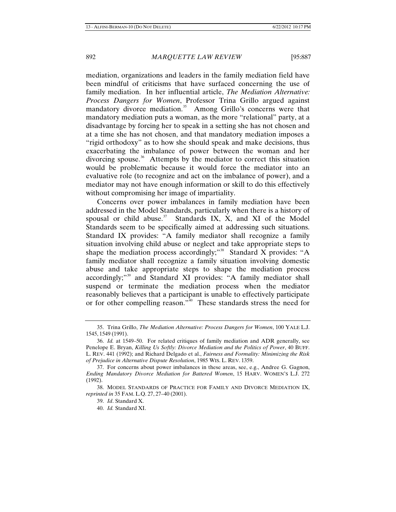mediation, organizations and leaders in the family mediation field have been mindful of criticisms that have surfaced concerning the use of family mediation. In her influential article, *The Mediation Alternative: Process Dangers for Women*, Professor Trina Grillo argued against mandatory divorce mediation.<sup>[35](#page-6-0)</sup> Among Grillo's concerns were that mandatory mediation puts a woman, as the more "relational" party, at a disadvantage by forcing her to speak in a setting she has not chosen and at a time she has not chosen, and that mandatory mediation imposes a "rigid orthodoxy" as to how she should speak and make decisions, thus exacerbating the imbalance of power between the woman and her divorcing spouse.<sup>[36](#page-6-1)</sup> Attempts by the mediator to correct this situation would be problematic because it would force the mediator into an evaluative role (to recognize and act on the imbalance of power), and a mediator may not have enough information or skill to do this effectively without compromising her image of impartiality.

Concerns over power imbalances in family mediation have been addressed in the Model Standards, particularly when there is a history of spousal or child abuse.<sup>[37](#page-6-2)</sup> Standards IX, X, and XI of the Model Standards seem to be specifically aimed at addressing such situations. Standard IX provides: "A family mediator shall recognize a family situation involving child abuse or neglect and take appropriate steps to shape the mediation process accordingly;"<sup>[38](#page-6-3)</sup> Standard X provides: "A family mediator shall recognize a family situation involving domestic abuse and take appropriate steps to shape the mediation process accordingly;"<sup>[39](#page-6-4)</sup> and Standard XI provides: "A family mediator shall suspend or terminate the mediation process when the mediator reasonably believes that a participant is unable to effectively participate or for other compelling reason."<sup>[40](#page-6-5)</sup> These standards stress the need for

<span id="page-6-0"></span><sup>35.</sup> Trina Grillo, *The Mediation Alternative: Process Dangers for Women*, 100 YALE L.J. 1545, 1549 (1991).

<span id="page-6-1"></span><sup>36.</sup> *Id.* at 1549–50. For related critiques of family mediation and ADR generally, see Penelope E. Bryan, *Killing Us Softly: Divorce Mediation and the Politics of Power*, 40 BUFF. L. REV. 441 (1992); and Richard Delgado et al., *Fairness and Formality: Minimizing the Risk of Prejudice in Alternative Dispute Resolution*, 1985 WIS. L. REV. 1359.

<span id="page-6-2"></span><sup>37.</sup> For concerns about power imbalances in these areas, see, e.g., Andree G. Gagnon, *Ending Mandatory Divorce Mediation for Battered Women*, 15 HARV. WOMEN'S L.J. 272 (1992).

<span id="page-6-5"></span><span id="page-6-4"></span><span id="page-6-3"></span><sup>38.</sup> MODEL STANDARDS OF PRACTICE FOR FAMILY AND DIVORCE MEDIATION IX, *reprinted in* 35 FAM. L.Q. 27, 27–40 (2001).

<sup>39.</sup> *Id*. Standard X.

<sup>40.</sup> *Id.* Standard XI.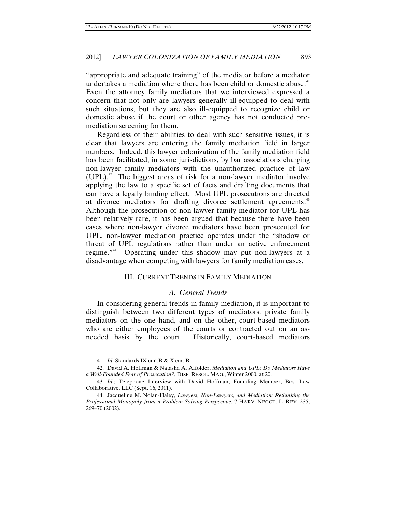"appropriate and adequate training" of the mediator before a mediator undertakes a mediation where there has been child or domestic abuse.<sup>[41](#page-7-0)</sup> Even the attorney family mediators that we interviewed expressed a concern that not only are lawyers generally ill-equipped to deal with such situations, but they are also ill-equipped to recognize child or domestic abuse if the court or other agency has not conducted premediation screening for them.

Regardless of their abilities to deal with such sensitive issues, it is clear that lawyers are entering the family mediation field in larger numbers. Indeed, this lawyer colonization of the family mediation field has been facilitated, in some jurisdictions, by bar associations charging non-lawyer family mediators with the unauthorized practice of law  $(UPL)^{42}$  $(UPL)^{42}$  $(UPL)^{42}$  The biggest areas of risk for a non-lawyer mediator involve applying the law to a specific set of facts and drafting documents that can have a legally binding effect. Most UPL prosecutions are directed at divorce mediators for drafting divorce settlement agreements.<sup>[43](#page-7-2)</sup> Although the prosecution of non-lawyer family mediator for UPL has been relatively rare, it has been argued that because there have been cases where non-lawyer divorce mediators have been prosecuted for UPL, non-lawyer mediation practice operates under the "shadow or threat of UPL regulations rather than under an active enforcement regime."<sup>[44](#page-7-3)</sup> Operating under this shadow may put non-lawyers at a disadvantage when competing with lawyers for family mediation cases.

## III. CURRENT TRENDS IN FAMILY MEDIATION

# *A. General Trends*

In considering general trends in family mediation, it is important to distinguish between two different types of mediators: private family mediators on the one hand, and on the other, court-based mediators who are either employees of the courts or contracted out on an asneeded basis by the court. Historically, court-based mediators

<sup>41.</sup> *Id.* Standards IX cmt.B & X cmt.B.

<span id="page-7-1"></span><span id="page-7-0"></span><sup>42.</sup> David A. Hoffman & Natasha A. Affolder, *Mediation and UPL: Do Mediators Have a Well-Founded Fear of Prosecution?*, DISP. RESOL. MAG., Winter 2000, at 20.

<span id="page-7-2"></span><sup>43.</sup> *Id.*; Telephone Interview with David Hoffman, Founding Member, Bos. Law Collaborative, LLC (Sept. 16, 2011).

<span id="page-7-3"></span><sup>44.</sup> Jacqueline M. Nolan-Haley, *Lawyers, Non-Lawyers, and Mediation: Rethinking the Professional Monopoly from a Problem-Solving Perspective*, 7 HARV. NEGOT. L. REV. 235, 269–70 (2002).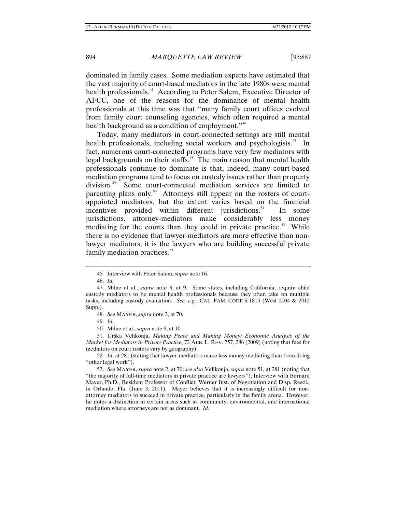dominated in family cases. Some mediation experts have estimated that the vast majority of court-based mediators in the late 1980s were mental health professionals.<sup>[45](#page-8-0)</sup> According to Peter Salem, Executive Director of AFCC, one of the reasons for the dominance of mental health professionals at this time was that "many family court offices evolved from family court counseling agencies, which often required a mental health background as a condition of employment."<sup>[46](#page-8-1)</sup>

Today, many mediators in court-connected settings are still mental health professionals, including social workers and psychologists. $47$  In fact, numerous court-connected programs have very few mediators with legal backgrounds on their staffs.<sup>[48](#page-8-3)</sup> The main reason that mental health professionals continue to dominate is that, indeed, many court-based mediation programs tend to focus on custody issues rather than property division.<sup>[49](#page-8-4)</sup> Some court-connected mediation services are limited to parenting plans only.<sup>[50](#page-8-5)</sup> Attorneys still appear on the rosters of courtappointed mediators, but the extent varies based on the financial incentives provided within different jurisdictions.<sup>[51](#page-8-6)</sup> In some jurisdictions, attorney-mediators make considerably less money mediating for the courts than they could in private practice.<sup>[52](#page-8-7)</sup> While there is no evidence that lawyer-mediators are more effective than nonlawyer mediators, it is the lawyers who are building successful private family mediation practices.<sup>[53](#page-8-8)</sup>

<span id="page-8-6"></span><span id="page-8-5"></span><span id="page-8-4"></span><span id="page-8-3"></span>51. Urška Velikonja, *Making Peace and Making Money: Economic Analysis of the Market for Mediators in Private Practice*, 72 ALB. L. REV. 257, 286 (2009) (noting that fees for mediators on court rosters vary by geography).

<span id="page-8-7"></span>52. *Id.* at 281 (stating that lawyer-mediators make less money mediating than from doing "other legal work").

<span id="page-8-8"></span>53. *See* MAYER, *supra* note 2, at 70; *see also* Velikonja, *supra* note 51, at 281 (noting that "the majority of full-time mediators in private practice are lawyers"); Interview with Bernard Mayer, Ph.D., Resident Professor of Conflict, Werner Inst. of Negotiation and Disp. Resol., in Orlando, Fla. (June 3, 2011). Mayer believes that it is increasingly difficult for nonattorney mediators to succeed in private practice, particularly in the family arena. However, he notes a distinction in certain areas such as community, environmental, and international mediation where attorneys are not as dominant. *Id.*

<sup>45.</sup> Interview with Peter Salem, *supra* note 16.

<sup>46.</sup> *Id.*

<span id="page-8-2"></span><span id="page-8-1"></span><span id="page-8-0"></span><sup>47.</sup> Milne et al., *supra* note 6, at 9. Some states, including California, require child custody mediators to be mental health professionals because they often take on multiple tasks, including custody evaluation. *See, e.g.*, CAL. FAM. CODE § 1815 (West 2004 & 2012 Supp.).

<sup>48.</sup> *See* MAYER, *supra* note 2, at 70.

<sup>49.</sup> *Id.*

<sup>50.</sup> Milne et al., *supra* note 6, at 10.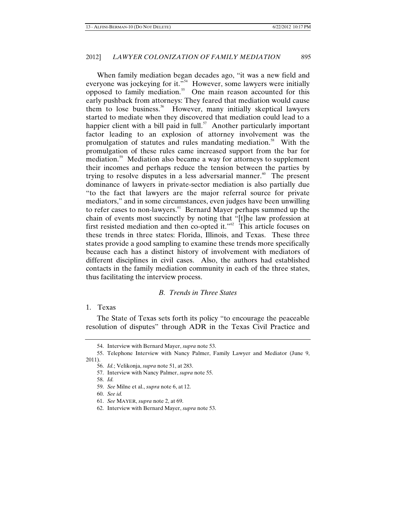When family mediation began decades ago, "it was a new field and everyone was jockeying for it."<sup>[54](#page-9-0)</sup> However, some lawyers were initially opposed to family mediation.<sup>[55](#page-9-1)</sup> One main reason accounted for this early pushback from attorneys: They feared that mediation would cause them to lose business.<sup>[56](#page-9-2)</sup> However, many initially skeptical lawyers started to mediate when they discovered that mediation could lead to a happier client with a bill paid in full.<sup>[57](#page-9-3)</sup> Another particularly important factor leading to an explosion of attorney involvement was the promulgation of statutes and rules mandating mediation.<sup>[58](#page-9-4)</sup> With the promulgation of these rules came increased support from the bar for mediation.<sup>[59](#page-9-5)</sup> Mediation also became a way for attorneys to supplement their incomes and perhaps reduce the tension between the parties by trying to resolve disputes in a less adversarial manner.<sup>[60](#page-9-6)</sup> The present dominance of lawyers in private-sector mediation is also partially due "to the fact that lawyers are the major referral source for private mediators," and in some circumstances, even judges have been unwilling to refer cases to non-lawyers.<sup>[61](#page-9-7)</sup> Bernard Mayer perhaps summed up the chain of events most succinctly by noting that "[t]he law profession at first resisted mediation and then co-opted it." $62$  This article focuses on these trends in three states: Florida, Illinois, and Texas. These three states provide a good sampling to examine these trends more specifically because each has a distinct history of involvement with mediators of different disciplines in civil cases. Also, the authors had established contacts in the family mediation community in each of the three states, thus facilitating the interview process.

# *B. Trends in Three States*

# 1. Texas

The State of Texas sets forth its policy "to encourage the peaceable resolution of disputes" through ADR in the Texas Civil Practice and

<sup>54.</sup> Interview with Bernard Mayer, *supra* note 53.

<span id="page-9-6"></span><span id="page-9-5"></span><span id="page-9-4"></span><span id="page-9-3"></span><span id="page-9-2"></span><span id="page-9-1"></span><span id="page-9-0"></span><sup>55.</sup> Telephone Interview with Nancy Palmer, Family Lawyer and Mediator (June 9, 2011).

<sup>56.</sup> *Id.*; Velikonja, *supra* note 51, at 283.

<sup>57.</sup> Interview with Nancy Palmer, *supra* note 55.

<sup>58.</sup> *Id.*

<sup>59.</sup> *See* Milne et al., *supra* note 6, at 12.

<sup>60.</sup> *See id.*

<span id="page-9-7"></span><sup>61.</sup> *See* MAYER, *supra* note 2, at 69.

<span id="page-9-8"></span><sup>62.</sup> Interview with Bernard Mayer, *supra* note 53.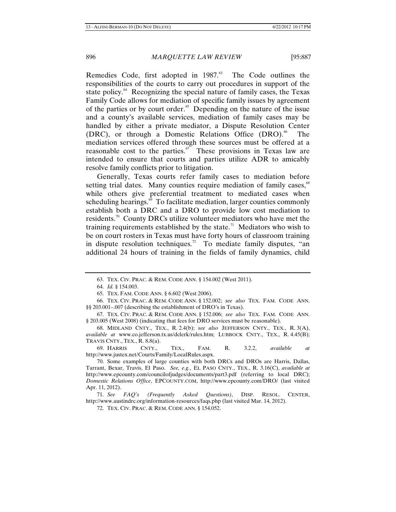Remedies Code, first adopted in  $1987$ .<sup>[63](#page-10-0)</sup> The Code outlines the responsibilities of the courts to carry out procedures in support of the state policy. $64$  Recognizing the special nature of family cases, the Texas Family Code allows for mediation of specific family issues by agreement of the parties or by court order. $65$  Depending on the nature of the issue and a county's available services, mediation of family cases may be handled by either a private mediator, a Dispute Resolution Center (DRC), or through a Domestic Relations Office  $(DRO)$ .<sup>[66](#page-10-3)</sup> The mediation services offered through these sources must be offered at a reasonable cost to the parties. $\sigma$  These provisions in Texas law are intended to ensure that courts and parties utilize ADR to amicably resolve family conflicts prior to litigation.

Generally, Texas courts refer family cases to mediation before setting trial dates. Many counties require mediation of family cases,<sup>[68](#page-10-5)</sup> while others give preferential treatment to mediated cases when scheduling hearings.<sup>[69](#page-10-6)</sup> To facilitate mediation, larger counties commonly establish both a DRC and a DRO to provide low cost mediation to residents.<sup>[70](#page-10-7)</sup> County DRCs utilize volunteer mediators who have met the training requirements established by the state.<sup>[71](#page-10-8)</sup> Mediators who wish to be on court rosters in Texas must have forty hours of classroom training in dispute resolution techniques.<sup>[72](#page-10-9)</sup> To mediate family disputes, "an additional 24 hours of training in the fields of family dynamics, child

<span id="page-10-6"></span>69. HARRIS CNTY., TEX., FAM. R. 3.2.2, *available at*  http://www.justex.net/Courts/Family/LocalRules.aspx.

<span id="page-10-9"></span><span id="page-10-8"></span>71. *See FAQ's (Frequently Asked Questions)*, DISP. RESOL. CENTER, http://www.austindrc.org/information-resources/faqs.php (last visited Mar. 14, 2012).

72. TEX. CIV. PRAC. & REM. CODE ANN. § 154.052.

<sup>63.</sup> TEX. CIV. PRAC. & REM. CODE ANN. § 154.002 (West 2011).

<sup>64.</sup> *Id.* § 154.003.

<sup>65.</sup> TEX. FAM. CODE ANN. § 6.602 (West 2006).

<span id="page-10-3"></span><span id="page-10-2"></span><span id="page-10-1"></span><span id="page-10-0"></span><sup>66.</sup> TEX. CIV. PRAC. & REM. CODE ANN. § 152.002; *see also* TEX. FAM. CODE ANN. §§ 203.001–.007 (describing the establishment of DRO's in Texas).

<span id="page-10-4"></span><sup>67.</sup> TEX. CIV. PRAC. & REM. CODE ANN. § 152.006; *see also* TEX. FAM. CODE ANN. § 203.005 (West 2008) (indicating that fees for DRO services must be reasonable).

<span id="page-10-5"></span><sup>68.</sup> MIDLAND CNTY., TEX., R. 2.4(b); *see also* JEFFERSON CNTY., TEX., R. 3(A), *available at* www.co.jefferson.tx.us/dclerk/rules.htm; LUBBOCK CNTY., TEX., R. 4.45(B); TRAVIS CNTY., TEX., R. 8.8(a).

<span id="page-10-7"></span><sup>70.</sup> Some examples of large counties with both DRCs and DROs are Harris, Dallas, Tarrant, Bexar, Travis, El Paso. *See, e.g.*, EL PASO CNTY., TEX., R. 3.16(C), *available at*  http://www.epcounty.com/councilofjudges/documents/part3.pdf (referring to local DRC); *Domestic Relations Office*, EPCOUNTY.COM, http://www.epcounty.com/DRO/ (last visited Apr. 11, 2012).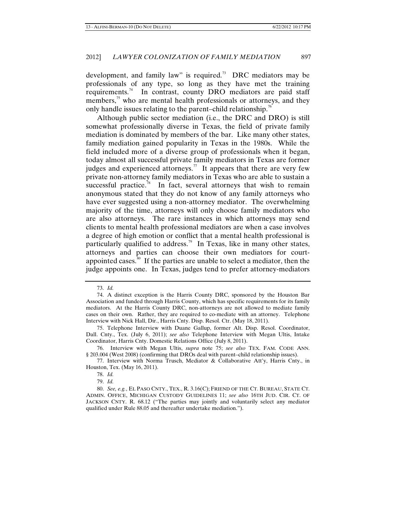development, and family law" is required.<sup>[73](#page-11-0)</sup> DRC mediators may be professionals of any type, so long as they have met the training requirements.<sup>[74](#page-11-1)</sup> In contrast, county DRO mediators are paid staff members,<sup>[75](#page-11-2)</sup> who are mental health professionals or attorneys, and they only handle issues relating to the parent–child relationship.<sup>[76](#page-11-3)</sup>

Although public sector mediation (i.e., the DRC and DRO) is still somewhat professionally diverse in Texas, the field of private family mediation is dominated by members of the bar. Like many other states, family mediation gained popularity in Texas in the 1980s. While the field included more of a diverse group of professionals when it began, today almost all successful private family mediators in Texas are former judges and experienced attorneys.<sup>[77](#page-11-4)</sup> It appears that there are very few private non-attorney family mediators in Texas who are able to sustain a successful practice.<sup>[78](#page-11-5)</sup> In fact, several attorneys that wish to remain anonymous stated that they do not know of any family attorneys who have ever suggested using a non-attorney mediator. The overwhelming majority of the time, attorneys will only choose family mediators who are also attorneys. The rare instances in which attorneys may send clients to mental health professional mediators are when a case involves a degree of high emotion or conflict that a mental health professional is particularly qualified to address.<sup>[79](#page-11-6)</sup> In Texas, like in many other states, attorneys and parties can choose their own mediators for court-appointed cases.<sup>[80](#page-11-7)</sup> If the parties are unable to select a mediator, then the judge appoints one. In Texas, judges tend to prefer attorney-mediators

<sup>73.</sup> *Id.*

<span id="page-11-1"></span><span id="page-11-0"></span><sup>74.</sup> A distinct exception is the Harris County DRC, sponsored by the Houston Bar Association and funded through Harris County, which has specific requirements for its family mediators. At the Harris County DRC, non-attorneys are not allowed to mediate family cases on their own. Rather, they are required to co-mediate with an attorney. Telephone Interview with Nick Hall, Dir., Harris Cnty. Disp. Resol. Ctr. (May 18, 2011).

<span id="page-11-2"></span><sup>75.</sup> Telephone Interview with Duane Gallup, former Alt. Disp. Resol. Coordinator, Dall. Cnty., Tex. (July 6, 2011); *see also* Telephone Interview with Megan Ultis, Intake Coordinator, Harris Cnty. Domestic Relations Office (July 8, 2011).

<span id="page-11-3"></span><sup>76.</sup> Interview with Megan Ultis, *supra* note 75; *see also* TEX. FAM. CODE ANN. § 203.004 (West 2008) (confirming that DROs deal with parent–child relationship issues).

<span id="page-11-5"></span><span id="page-11-4"></span><sup>77.</sup> Interview with Norma Trusch, Mediator & Collaborative Att'y, Harris Cnty., in Houston, Tex. (May 16, 2011).

<sup>78.</sup> *Id.*

<sup>79.</sup> *Id.*

<span id="page-11-7"></span><span id="page-11-6"></span><sup>80.</sup> *See, e.g.*, EL PASO CNTY., TEX., R. 3.16(C); FRIEND OF THE CT. BUREAU, STATE CT. ADMIN. OFFICE, MICHIGAN CUSTODY GUIDELINES 11; *see also* 16TH JUD. CIR. CT. OF JACKSON CNTY. R. 68.12 ("The parties may jointly and voluntarily select any mediator qualified under Rule 88.05 and thereafter undertake mediation.").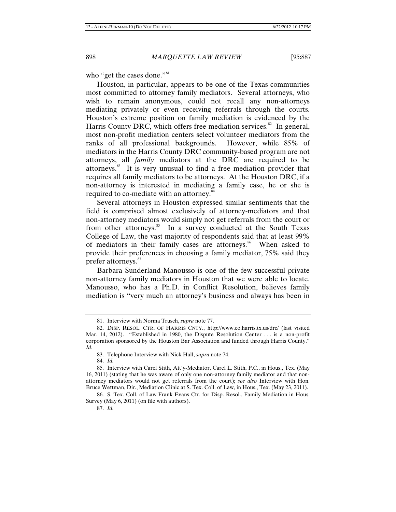who "get the cases done."<sup>[81](#page-12-0)</sup>

Houston, in particular, appears to be one of the Texas communities most committed to attorney family mediators. Several attorneys, who wish to remain anonymous, could not recall any non-attorneys mediating privately or even receiving referrals through the courts. Houston's extreme position on family mediation is evidenced by the Harris County DRC, which offers free mediation services. $82$  In general, most non-profit mediation centers select volunteer mediators from the ranks of all professional backgrounds. However, while 85% of mediators in the Harris County DRC community-based program are not attorneys, all *family* mediators at the DRC are required to be attorneys.[83](#page-12-2) It is very unusual to find a free mediation provider that requires all family mediators to be attorneys. At the Houston DRC, if a non-attorney is interested in mediating a family case, he or she is required to co-mediate with an attorney.<sup>[84](#page-12-3)</sup>

Several attorneys in Houston expressed similar sentiments that the field is comprised almost exclusively of attorney-mediators and that non-attorney mediators would simply not get referrals from the court or from other attorneys.<sup>[85](#page-12-4)</sup> In a survey conducted at the South Texas College of Law, the vast majority of respondents said that at least 99% of mediators in their family cases are attorneys.<sup>[86](#page-12-5)</sup> When asked to provide their preferences in choosing a family mediator, 75% said they prefer attorneys.<sup>[87](#page-12-6)</sup>

Barbara Sunderland Manousso is one of the few successful private non-attorney family mediators in Houston that we were able to locate. Manousso, who has a Ph.D. in Conflict Resolution, believes family mediation is "very much an attorney's business and always has been in

<sup>81.</sup> Interview with Norma Trusch, *supra* note 77.

<span id="page-12-1"></span><span id="page-12-0"></span><sup>82.</sup> DISP. RESOL. CTR. OF HARRIS CNTY., http://www.co.harris.tx.us/drc/ (last visited Mar. 14, 2012). "Established in 1980, the Dispute Resolution Center ... is a non-profit corporation sponsored by the Houston Bar Association and funded through Harris County." *Id.*

<sup>83.</sup> Telephone Interview with Nick Hall, *supra* note 74.

<sup>84.</sup> *Id.*

<span id="page-12-4"></span><span id="page-12-3"></span><span id="page-12-2"></span><sup>85.</sup> Interview with Carel Stith, Att'y-Mediator, Carel L. Stith, P.C., in Hous., Tex. (May 16, 2011) (stating that he was aware of only one non-attorney family mediator and that nonattorney mediators would not get referrals from the court); *see also* Interview with Hon. Bruce Wettman, Dir., Mediation Clinic at S. Tex. Coll. of Law, in Hous., Tex. (May 23, 2011).

<span id="page-12-6"></span><span id="page-12-5"></span><sup>86.</sup> S. Tex. Coll. of Law Frank Evans Ctr. for Disp. Resol., Family Mediation in Hous. Survey (May 6, 2011) (on file with authors).

<sup>87.</sup> *Id.*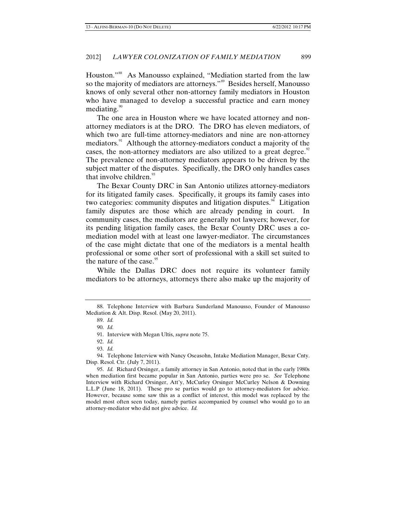Houston."[88](#page-13-0) As Manousso explained, "Mediation started from the law so the majority of mediators are attorneys."<sup>[89](#page-13-1)</sup> Besides herself, Manousso knows of only several other non-attorney family mediators in Houston who have managed to develop a successful practice and earn money mediating. $\frac{90}{10}$  $\frac{90}{10}$  $\frac{90}{10}$ 

The one area in Houston where we have located attorney and nonattorney mediators is at the DRO. The DRO has eleven mediators, of which two are full-time attorney-mediators and nine are non-attorney mediators.<sup>[91](#page-13-3)</sup> Although the attorney-mediators conduct a majority of the cases, the non-attorney mediators are also utilized to a great degree.<sup>[92](#page-13-4)</sup> The prevalence of non-attorney mediators appears to be driven by the subject matter of the disputes. Specifically, the DRO only handles cases that involve children.<sup>[93](#page-13-5)</sup>

The Bexar County DRC in San Antonio utilizes attorney-mediators for its litigated family cases. Specifically, it groups its family cases into two categories: community disputes and litigation disputes. $94$  Litigation family disputes are those which are already pending in court. In community cases, the mediators are generally not lawyers; however, for its pending litigation family cases, the Bexar County DRC uses a comediation model with at least one lawyer-mediator. The circumstances of the case might dictate that one of the mediators is a mental health professional or some other sort of professional with a skill set suited to the nature of the case. $95$ 

While the Dallas DRC does not require its volunteer family mediators to be attorneys, attorneys there also make up the majority of

<span id="page-13-2"></span><span id="page-13-1"></span><span id="page-13-0"></span><sup>88.</sup> Telephone Interview with Barbara Sunderland Manousso, Founder of Manousso Mediation & Alt. Disp. Resol. (May 20, 2011).

<sup>89.</sup> *Id.*

<sup>90.</sup> *Id.*

<sup>91.</sup> Interview with Megan Ultis, *supra* note 75.

<sup>92.</sup> *Id.*

<sup>93.</sup> *Id.*

<span id="page-13-6"></span><span id="page-13-5"></span><span id="page-13-4"></span><span id="page-13-3"></span><sup>94.</sup> Telephone Interview with Nancy Oseasohn, Intake Mediation Manager, Bexar Cnty. Disp. Resol. Ctr. (July 7, 2011).

<span id="page-13-7"></span><sup>95.</sup> *Id.* Richard Orsinger, a family attorney in San Antonio, noted that in the early 1980s when mediation first became popular in San Antonio, parties were pro se. *See* Telephone Interview with Richard Orsinger, Att'y, McCurley Orsinger McCurley Nelson & Downing L.L.P (June 18, 2011). These pro se parties would go to attorney-mediators for advice. However, because some saw this as a conflict of interest, this model was replaced by the model most often seen today, namely parties accompanied by counsel who would go to an attorney-mediator who did not give advice. *Id.*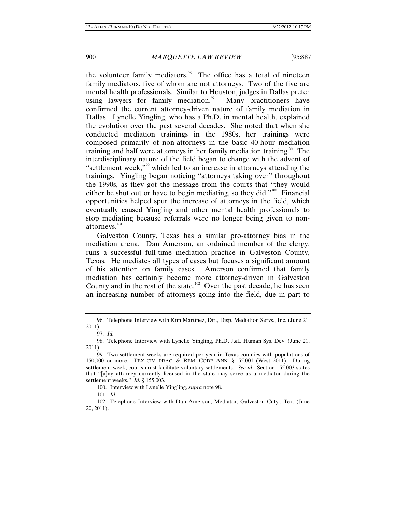the volunteer family mediators.<sup> $%$ </sup> The office has a total of nineteen family mediators, five of whom are not attorneys. Two of the five are mental health professionals. Similar to Houston, judges in Dallas prefer using lawyers for family mediation. $\frac{97}{100}$  $\frac{97}{100}$  $\frac{97}{100}$  Many practitioners have confirmed the current attorney-driven nature of family mediation in Dallas. Lynelle Yingling, who has a Ph.D. in mental health, explained the evolution over the past several decades. She noted that when she conducted mediation trainings in the 1980s, her trainings were composed primarily of non-attorneys in the basic 40-hour mediation training and half were attorneys in her family mediation training.<sup>[98](#page-14-2)</sup> The interdisciplinary nature of the field began to change with the advent of "settlement week,"[99](#page-14-3) which led to an increase in attorneys attending the trainings. Yingling began noticing "attorneys taking over" throughout the 1990s, as they got the message from the courts that "they would either be shut out or have to begin mediating, so they did."<sup>[100](#page-14-4)</sup> Financial opportunities helped spur the increase of attorneys in the field, which eventually caused Yingling and other mental health professionals to stop mediating because referrals were no longer being given to non-attorneys.<sup>[101](#page-14-5)</sup>

Galveston County, Texas has a similar pro-attorney bias in the mediation arena. Dan Amerson, an ordained member of the clergy, runs a successful full-time mediation practice in Galveston County, Texas. He mediates all types of cases but focuses a significant amount of his attention on family cases. Amerson confirmed that family mediation has certainly become more attorney-driven in Galveston County and in the rest of the state.<sup>[102](#page-14-6)</sup> Over the past decade, he has seen an increasing number of attorneys going into the field, due in part to

<span id="page-14-0"></span><sup>96.</sup> Telephone Interview with Kim Martinez, Dir., Disp. Mediation Servs., Inc. (June 21, 2011).

<sup>97.</sup> *Id.*

<span id="page-14-2"></span><span id="page-14-1"></span><sup>98.</sup> Telephone Interview with Lynelle Yingling, Ph.D, J&L Human Sys. Dev. (June 21, 2011).

<span id="page-14-3"></span><sup>99.</sup> Two settlement weeks are required per year in Texas counties with populations of 150,000 or more. TEX CIV. PRAC. & REM. CODE ANN. § 155.001 (West 2011). During settlement week, courts must facilitate voluntary settlements. See id. Section 155.003 states that "[a]ny attorney currently licensed in the state may serve as a mediator during the settlement weeks." *Id.* § 155.003.

<sup>100.</sup> Interview with Lynelle Yingling, *supra* note 98.

<sup>101.</sup> *Id.*

<span id="page-14-6"></span><span id="page-14-5"></span><span id="page-14-4"></span><sup>102.</sup> Telephone Interview with Dan Amerson, Mediator, Galveston Cnty., Tex. (June 20, 2011).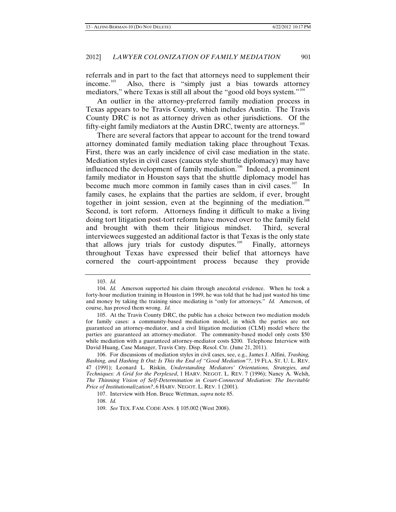referrals and in part to the fact that attorneys need to supplement their income.<sup>[103](#page-15-0)</sup> Also, there is "simply just a bias towards attorney mediators," where Texas is still all about the "good old boys system."<sup>[104](#page-15-1)</sup>

An outlier in the attorney-preferred family mediation process in Texas appears to be Travis County, which includes Austin. The Travis County DRC is not as attorney driven as other jurisdictions. Of the fifty-eight family mediators at the Austin DRC, twenty are attorneys. $105$ 

There are several factors that appear to account for the trend toward attorney dominated family mediation taking place throughout Texas. First, there was an early incidence of civil case mediation in the state. Mediation styles in civil cases (caucus style shuttle diplomacy) may have influenced the development of family mediation.<sup>[106](#page-15-3)</sup> Indeed, a prominent family mediator in Houston says that the shuttle diplomacy model has become much more common in family cases than in civil cases.<sup>[107](#page-15-4)</sup> In family cases, he explains that the parties are seldom, if ever, brought together in joint session, even at the beginning of the mediation.<sup>[108](#page-15-5)</sup> Second, is tort reform. Attorneys finding it difficult to make a living doing tort litigation post-tort reform have moved over to the family field and brought with them their litigious mindset. Third, several interviewees suggested an additional factor is that Texas is the only state that allows jury trials for custody disputes.<sup>[109](#page-15-6)</sup> Finally, attorneys throughout Texas have expressed their belief that attorneys have cornered the court-appointment process because they provide

<sup>103.</sup> *Id.*

<span id="page-15-1"></span><span id="page-15-0"></span><sup>104.</sup> *Id.* Amerson supported his claim through anecdotal evidence. When he took a forty-hour mediation training in Houston in 1999, he was told that he had just wasted his time and money by taking the training since mediating is "only for attorneys." *Id.* Amerson, of course, has proved them wrong. *Id.*

<span id="page-15-2"></span><sup>105.</sup> At the Travis County DRC, the public has a choice between two mediation models for family cases: a community-based mediation model, in which the parties are not guaranteed an attorney-mediator, and a civil litigation mediation (CLM) model where the parties are guaranteed an attorney-mediator. The community-based model only costs \$50 while mediation with a guaranteed attorney-mediator costs \$200. Telephone Interview with David Huang, Case Manager, Travis Cnty. Disp. Resol. Ctr. (June 21, 2011).

<span id="page-15-4"></span><span id="page-15-3"></span><sup>106.</sup> For discussions of mediation styles in civil cases, see, e.g., James J. Alfini, *Trashing, Bashing, and Hashing It Out: Is This the End of "Good Mediation"?*, 19 FLA. ST. U. L. REV. 47 (1991); Leonard L. Riskin, *Understanding Mediators' Orientations, Strategies, and Techniques: A Grid for the Perplexed*, 1 HARV. NEGOT. L. REV. 7 (1996); Nancy A. Welsh, *The Thinning Vision of Self-Determination in Court-Connected Mediation: The Inevitable Price of Institutionalization?*, 6 HARV. NEGOT. L. REV. 1 (2001).

<span id="page-15-5"></span><sup>107.</sup> Interview with Hon. Bruce Wettman, *supra* note 85.

<sup>108.</sup> *Id.*

<span id="page-15-6"></span><sup>109.</sup> *See* TEX. FAM. CODE ANN. § 105.002 (West 2008).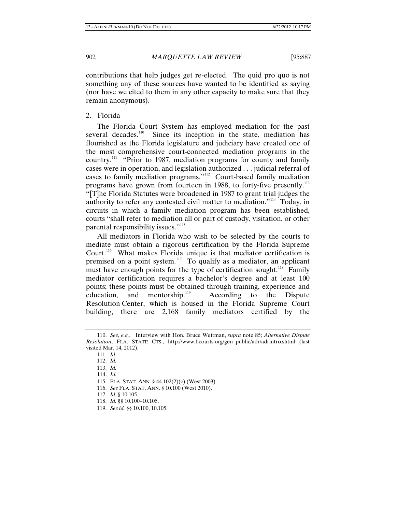contributions that help judges get re-elected. The quid pro quo is not something any of these sources have wanted to be identified as saying (nor have we cited to them in any other capacity to make sure that they remain anonymous).

2. Florida

The Florida Court System has employed mediation for the past several decades.<sup>[110](#page-16-0)</sup> Since its inception in the state, mediation has flourished as the Florida legislature and judiciary have created one of the most comprehensive court-connected mediation programs in the country.<sup>[111](#page-16-1)</sup> "Prior to 1987, mediation programs for county and family cases were in operation, and legislation authorized . . . judicial referral of cases to family mediation programs."[112](#page-16-2) Court-based family mediation programs have grown from fourteen in 1988, to forty-five presently.<sup>[113](#page-16-3)</sup> "[T]he Florida Statutes were broadened in 1987 to grant trial judges the authority to refer any contested civil matter to mediation."<sup>[114](#page-16-4)</sup> Today, in circuits in which a family mediation program has been established, courts "shall refer to mediation all or part of custody, visitation, or other parental responsibility issues."<sup>[115](#page-16-5)</sup>

All mediators in Florida who wish to be selected by the courts to mediate must obtain a rigorous certification by the Florida Supreme Court.<sup>[116](#page-16-6)</sup> What makes Florida unique is that mediator certification is premised on a point system.<sup>[117](#page-16-7)</sup> To qualify as a mediator, an applicant must have enough points for the type of certification sought.<sup>[118](#page-16-8)</sup> Family mediator certification requires a bachelor's degree and at least 100 points; these points must be obtained through training, experience and education, and mentorship.<sup>[119](#page-16-9)</sup> According to the Dispute Resolution Center, which is housed in the Florida Supreme Court building, there are 2,168 family mediators certified by the

<span id="page-16-6"></span>116. *See* FLA. STAT. ANN. § 10.100 (West 2010).

<span id="page-16-4"></span><span id="page-16-3"></span><span id="page-16-2"></span><span id="page-16-1"></span><span id="page-16-0"></span><sup>110.</sup> *See, e.g.*, Interview with Hon. Bruce Wettman, *supra* note 85; *Alternative Dispute Resolution*, FLA. STATE CTS., http://www.flcourts.org/gen\_public/adr/adrintro.shtml (last visited Mar. 14, 2012).

<sup>111.</sup> *Id.*

<sup>112.</sup> *Id.*

<sup>113.</sup> *Id.*

<sup>114.</sup> *Id.*

<span id="page-16-5"></span><sup>115.</sup> FLA. STAT. ANN. § 44.102(2)(c) (West 2003).

<span id="page-16-7"></span><sup>117.</sup> *Id.* § 10.105.

<span id="page-16-8"></span><sup>118.</sup> *Id.* §§ 10.100–10.105.

<span id="page-16-9"></span><sup>119.</sup> *See id.* §§ 10.100, 10.105.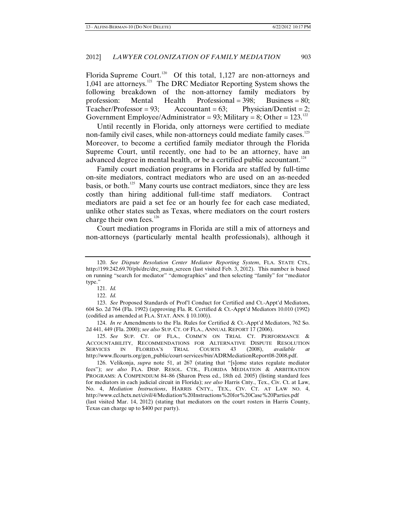Florida Supreme Court.<sup>[120](#page-17-0)</sup> Of this total, 1,127 are non-attorneys and 1,041 are attorneys.[121](#page-17-1) The DRC Mediator Reporting System shows the following breakdown of the non-attorney family mediators by profession: Mental Health Professional = 398; Business = 80; Teacher/Professor = 93; Accountant = 63; Physician/Dentist = 2; Government Employee/Administrator = 93; Military = 8; Other =  $123$ .<sup>[122](#page-17-2)</sup>

Until recently in Florida, only attorneys were certified to mediate non-family civil cases, while non-attorneys could mediate family cases.<sup>[123](#page-17-3)</sup> Moreover, to become a certified family mediator through the Florida Supreme Court, until recently, one had to be an attorney, have an advanced degree in mental health, or be a certified public accountant.<sup>[124](#page-17-4)</sup>

Family court mediation programs in Florida are staffed by full-time on-site mediators, contract mediators who are used on an as-needed basis, or both.<sup>[125](#page-17-5)</sup> Many courts use contract mediators, since they are less costly than hiring additional full-time staff mediators. Contract mediators are paid a set fee or an hourly fee for each case mediated, unlike other states such as Texas, where mediators on the court rosters charge their own fees.<sup>[126](#page-17-6)</sup>

Court mediation programs in Florida are still a mix of attorneys and non-attorneys (particularly mental health professionals), although it

<span id="page-17-4"></span>124. *In re* Amendments to the Fla. Rules for Certified & Ct.-Appt'd Mediators, 762 So. 2d 441, 449 (Fla. 2000); *see also* SUP. CT. OF FLA., ANNUAL REPORT 17 (2006).

<span id="page-17-5"></span>125. *See* SUP. CT. OF FLA., COMM'N ON TRIAL CT. PERFORMANCE & ACCOUNTABILITY, RECOMMENDATIONS FOR ALTERNATIVE DISPUTE RESOLUTION SERVICES IN FLORIDA'S TRIAL COURTS 43 (2008), *available* http://www.flcourts.org/gen\_public/court-services/bin/ADRMediationReport08-2008.pdf.

<span id="page-17-6"></span>126. Velikonja, *supra* note 51, at 267 (stating that "[s]ome states regulate mediator fees"); *see also* FLA. DISP. RESOL. CTR., FLORIDA MEDIATION & ARBITRATION PROGRAMS: A COMPENDIUM 84–86 (Sharon Press ed., 18th ed. 2005) (listing standard fees for mediators in each judicial circuit in Florida); *see also* Harris Cnty., Tex., Civ. Ct. at Law, No. 4, *Mediation Instructions*, HARRIS CNTY., TEX., CIV. CT. AT LAW NO. 4, http://www.ccl.hctx.net/civil/4/Mediation%20Instructions%20for%20Case%20Parties.pdf (last visited Mar. 14, 2012) (stating that mediators on the court rosters in Harris County, Texas can charge up to \$400 per party).

<span id="page-17-0"></span><sup>120.</sup> *See Dispute Resolution Center Mediator Reporting System*, FLA. STATE CTS., http://199.242.69.70/pls/drc/drc\_main\_screen (last visited Feb. 3, 2012). This number is based on running "search for mediator" "demographics" and then selecting "family" for "mediator type."

<sup>121.</sup> *Id.*

<sup>122.</sup> *Id.*

<span id="page-17-3"></span><span id="page-17-2"></span><span id="page-17-1"></span><sup>123.</sup> *See* Proposed Standards of Prof'l Conduct for Certified and Ct.-Appt'd Mediators, 604 So. 2d 764 (Fla. 1992) (approving Fla. R. Certified & Ct.-Appt'd Mediators 10.010 (1992) (codified as amended at FLA. STAT. ANN. § 10.100)).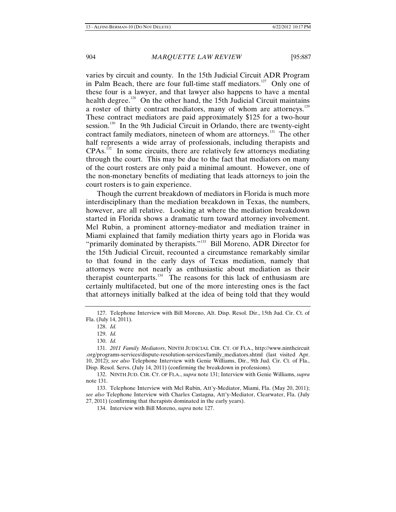varies by circuit and county. In the 15th Judicial Circuit ADR Program in Palm Beach, there are four full-time staff mediators.<sup>[127](#page-18-0)</sup> Only one of these four is a lawyer, and that lawyer also happens to have a mental health degree.<sup>[128](#page-18-1)</sup> On the other hand, the 15th Judicial Circuit maintains a roster of thirty contract mediators, many of whom are attorneys.<sup>[129](#page-18-2)</sup> These contract mediators are paid approximately \$125 for a two-hour session.<sup>[130](#page-18-3)</sup> In the 9th Judicial Circuit in Orlando, there are twenty-eight contract family mediators, nineteen of whom are attorneys.<sup>[131](#page-18-4)</sup> The other half represents a wide array of professionals, including therapists and  $CPAs.<sup>132</sup>$  $CPAs.<sup>132</sup>$  $CPAs.<sup>132</sup>$  In some circuits, there are relatively few attorneys mediating through the court. This may be due to the fact that mediators on many of the court rosters are only paid a minimal amount. However, one of the non-monetary benefits of mediating that leads attorneys to join the court rosters is to gain experience.

Though the current breakdown of mediators in Florida is much more interdisciplinary than the mediation breakdown in Texas, the numbers, however, are all relative. Looking at where the mediation breakdown started in Florida shows a dramatic turn toward attorney involvement. Mel Rubin, a prominent attorney-mediator and mediation trainer in Miami explained that family mediation thirty years ago in Florida was "primarily dominated by therapists."<sup>[133](#page-18-6)</sup> Bill Moreno, ADR Director for the 15th Judicial Circuit, recounted a circumstance remarkably similar to that found in the early days of Texas mediation, namely that attorneys were not nearly as enthusiastic about mediation as their therapist counterparts. $134$  The reasons for this lack of enthusiasm are certainly multifaceted, but one of the more interesting ones is the fact that attorneys initially balked at the idea of being told that they would

<span id="page-18-1"></span><span id="page-18-0"></span><sup>127.</sup> Telephone Interview with Bill Moreno, Alt. Disp. Resol. Dir., 15th Jud. Cir. Ct. of Fla. (July 14, 2011).

<sup>128.</sup> *Id.*

<sup>129.</sup> *Id.*

<sup>130.</sup> *Id.*

<span id="page-18-4"></span><span id="page-18-3"></span><span id="page-18-2"></span><sup>131.</sup> *2011 Family Mediators*, NINTH JUDICIAL CIR. CT. OF FLA., http://www.ninthcircuit .org/programs-services/dispute-resolution-services/family\_mediators.shtml (last visited Apr. 10, 2012); *see also* Telephone Interview with Genie Williams, Dir., 9th Jud. Cir. Ct. of Fla., Disp. Resol. Servs. (July 14, 2011) (confirming the breakdown in professions).

<span id="page-18-5"></span><sup>132.</sup> NINTH JUD. CIR. CT. OF FLA., *supra* note 131; Interview with Genie Williams, *supra*  note 131.

<span id="page-18-7"></span><span id="page-18-6"></span><sup>133.</sup> Telephone Interview with Mel Rubin, Att'y-Mediator, Miami, Fla. (May 20, 2011); *see also* Telephone Interview with Charles Castagna, Att'y-Mediator, Clearwater, Fla. (July 27, 2011) (confirming that therapists dominated in the early years).

<sup>134.</sup> Interview with Bill Moreno, *supra* note 127.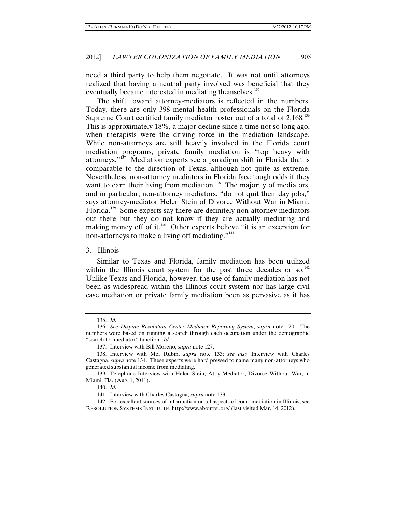need a third party to help them negotiate. It was not until attorneys realized that having a neutral party involved was beneficial that they eventually became interested in mediating themselves.<sup>[135](#page-19-0)</sup>

The shift toward attorney-mediators is reflected in the numbers. Today, there are only 398 mental health professionals on the Florida Supreme Court certified family mediator roster out of a total of  $2,168$ <sup>[136](#page-19-1)</sup> This is approximately 18%, a major decline since a time not so long ago, when therapists were the driving force in the mediation landscape. While non-attorneys are still heavily involved in the Florida court mediation programs, private family mediation is "top heavy with attorneys."[137](#page-19-2) Mediation experts see a paradigm shift in Florida that is comparable to the direction of Texas, although not quite as extreme. Nevertheless, non-attorney mediators in Florida face tough odds if they want to earn their living from mediation.<sup>[138](#page-19-3)</sup> The majority of mediators, and in particular, non-attorney mediators, "do not quit their day jobs," says attorney-mediator Helen Stein of Divorce Without War in Miami, Florida.<sup>[139](#page-19-4)</sup> Some experts say there are definitely non-attorney mediators out there but they do not know if they are actually mediating and making money off of it. $140$  Other experts believe "it is an exception for non-attorneys to make a living off mediating."<sup>[141](#page-19-6)</sup>

3. Illinois

Similar to Texas and Florida, family mediation has been utilized within the Illinois court system for the past three decades or so.<sup>[142](#page-19-7)</sup> Unlike Texas and Florida, however, the use of family mediation has not been as widespread within the Illinois court system nor has large civil case mediation or private family mediation been as pervasive as it has

<sup>135.</sup> *Id.*

<span id="page-19-1"></span><span id="page-19-0"></span><sup>136.</sup> *See Dispute Resolution Center Mediator Reporting System*, *supra* note 120. The numbers were based on running a search through each occupation under the demographic "search for mediator" function. *Id.*

<sup>137.</sup> Interview with Bill Moreno, *supra* note 127.

<span id="page-19-3"></span><span id="page-19-2"></span><sup>138.</sup> Interview with Mel Rubin, *supra* note 133; *see also* Interview with Charles Castagna, *supra* note 134. These experts were hard pressed to name many non-attorneys who generated substantial income from mediating.

<span id="page-19-5"></span><span id="page-19-4"></span><sup>139.</sup> Telephone Interview with Helen Stein, Att'y-Mediator, Divorce Without War, in Miami, Fla. (Aug. 1, 2011).

<sup>140.</sup> *Id.*

<sup>141.</sup> Interview with Charles Castagna, *supra* note 133.

<span id="page-19-7"></span><span id="page-19-6"></span><sup>142.</sup> For excellent sources of information on all aspects of court mediation in Illinois, see RESOLUTION SYSTEMS INSTITUTE, http://www.aboutrsi.org/ (last visited Mar. 14, 2012).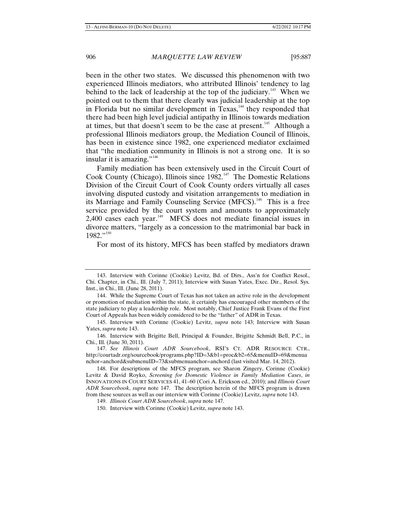been in the other two states. We discussed this phenomenon with two experienced Illinois mediators, who attributed Illinois' tendency to lag behind to the lack of leadership at the top of the judiciary.<sup>[143](#page-20-0)</sup> When we pointed out to them that there clearly was judicial leadership at the top in Florida but no similar development in Texas,<sup>[144](#page-20-1)</sup> they responded that there had been high level judicial antipathy in Illinois towards mediation at times, but that doesn't seem to be the case at present.<sup>[145](#page-20-2)</sup> Although a professional Illinois mediators group, the Mediation Council of Illinois, has been in existence since 1982, one experienced mediator exclaimed that "the mediation community in Illinois is not a strong one. It is so insular it is amazing."<sup>[146](#page-20-3)</sup>

Family mediation has been extensively used in the Circuit Court of Cook County (Chicago), Illinois since 1982.<sup>[147](#page-20-4)</sup> The Domestic Relations Division of the Circuit Court of Cook County orders virtually all cases involving disputed custody and visitation arrangements to mediation in its Marriage and Family Counseling Service (MFCS).<sup>[148](#page-20-5)</sup> This is a free service provided by the court system and amounts to approximately 2,400 cases each year.<sup>[149](#page-20-6)</sup> MFCS does not mediate financial issues in divorce matters, "largely as a concession to the matrimonial bar back in 1982."[150](#page-20-7)

For most of its history, MFCS has been staffed by mediators drawn

<span id="page-20-0"></span><sup>143.</sup> Interview with Corinne (Cookie) Levitz, Bd. of Dirs., Ass'n for Conflict Resol., Chi. Chapter, in Chi., Ill. (July 7, 2011); Interview with Susan Yates, Exec. Dir., Resol. Sys. Inst., in Chi., Ill. (June 28, 2011).

<span id="page-20-1"></span><sup>144.</sup> While the Supreme Court of Texas has not taken an active role in the development or promotion of mediation within the state, it certainly has encouraged other members of the state judiciary to play a leadership role. Most notably, Chief Justice Frank Evans of the First Court of Appeals has been widely considered to be the "father" of ADR in Texas.

<span id="page-20-2"></span><sup>145.</sup> Interview with Corinne (Cookie) Levitz, *supra* note 143; Interview with Susan Yates, *supra* note 143.

<span id="page-20-3"></span><sup>146.</sup> Interview with Brigitte Bell, Principal & Founder, Brigitte Schmidt Bell, P.C., in Chi., Ill. (June 30, 2011).

<span id="page-20-4"></span><sup>147.</sup> *See Illinois Court ADR Sourcebook*, RSI'S CT. ADR RESOURCE CTR., http://courtadr.org/sourcebook/programs.php?ID=3&b1=proc&b2=65&menuID=69&menua nchor=anchord&submenuID=73&submenuanchor=anchord (last visited Mar. 14, 2012).

<span id="page-20-7"></span><span id="page-20-6"></span><span id="page-20-5"></span><sup>148.</sup> For descriptions of the MFCS program, see Sharon Zingery, Corinne (Cookie) Levitz & David Royko, *Screening for Domestic Violence in Family Mediation Cases*, *in*  INNOVATIONS IN COURT SERVICES 41, 41–60 (Cori A. Erickson ed., 2010); and *Illinois Court ADR Sourcebook*, *supra* note 147. The description herein of the MFCS program is drawn from these sources as well as our interview with Corinne (Cookie) Levitz, *supra* note 143.

<sup>149.</sup> *Illinois Court ADR Sourcebook*, *supra* note 147.

<sup>150.</sup> Interview with Corinne (Cookie) Levitz, *supra* note 143.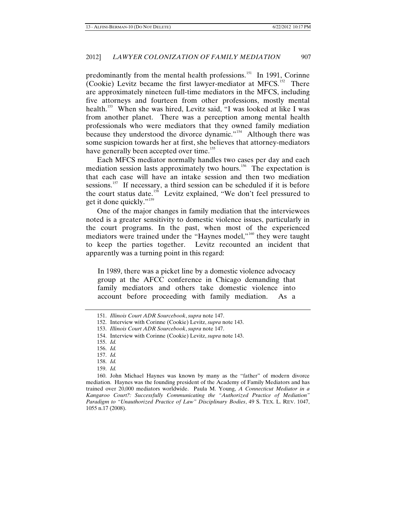predominantly from the mental health professions.<sup>[151](#page-21-0)</sup> In 1991, Corinne (Cookie) Levitz became the first lawyer-mediator at MFCS.<sup>[152](#page-21-1)</sup> There are approximately nineteen full-time mediators in the MFCS, including five attorneys and fourteen from other professions, mostly mental health.<sup>[153](#page-21-2)</sup> When she was hired, Levitz said, "I was looked at like I was from another planet. There was a perception among mental health professionals who were mediators that they owned family mediation because they understood the divorce dynamic."<sup>[154](#page-21-3)</sup> Although there was some suspicion towards her at first, she believes that attorney-mediators have generally been accepted over time.<sup>[155](#page-21-4)</sup>

Each MFCS mediator normally handles two cases per day and each mediation session lasts approximately two hours.<sup>[156](#page-21-5)</sup> The expectation is that each case will have an intake session and then two mediation sessions.<sup>[157](#page-21-6)</sup> If necessary, a third session can be scheduled if it is before the court status date.<sup>[158](#page-21-7)</sup> Levitz explained, "We don't feel pressured to get it done quickly."<sup>[159](#page-21-8)</sup>

One of the major changes in family mediation that the interviewees noted is a greater sensitivity to domestic violence issues, particularly in the court programs. In the past, when most of the experienced mediators were trained under the "Haynes model,"<sup>[160](#page-21-9)</sup> they were taught to keep the parties together. Levitz recounted an incident that apparently was a turning point in this regard:

In 1989, there was a picket line by a domestic violence advocacy group at the AFCC conference in Chicago demanding that family mediators and others take domestic violence into account before proceeding with family mediation. As a

- 158. *Id.* 159. *Id.*
- 

<span id="page-21-9"></span><span id="page-21-8"></span><span id="page-21-7"></span><span id="page-21-6"></span><span id="page-21-5"></span><span id="page-21-4"></span><span id="page-21-3"></span>160. John Michael Haynes was known by many as the "father" of modern divorce mediation. Haynes was the founding president of the Academy of Family Mediators and has trained over 20,000 mediators worldwide. Paula M. Young, *A Connecticut Mediator in a Kangaroo Court?: Successfully Communicating the "Authorized Practice of Mediation" Paradigm to "Unauthorized Practice of Law" Disciplinary Bodies*, 49 S. TEX. L. REV. 1047, 1055 n.17 (2008).

<span id="page-21-0"></span><sup>151.</sup> *Illinois Court ADR Sourcebook*, *supra* note 147.

<span id="page-21-1"></span><sup>152.</sup> Interview with Corinne (Cookie) Levitz, *supra* note 143.

<span id="page-21-2"></span><sup>153.</sup> *Illinois Court ADR Sourcebook*, *supra* note 147.

<sup>154.</sup> Interview with Corinne (Cookie) Levitz, *supra* note 143.

<sup>155.</sup> *Id.*

<sup>156.</sup> *Id.*

<sup>157.</sup> *Id.*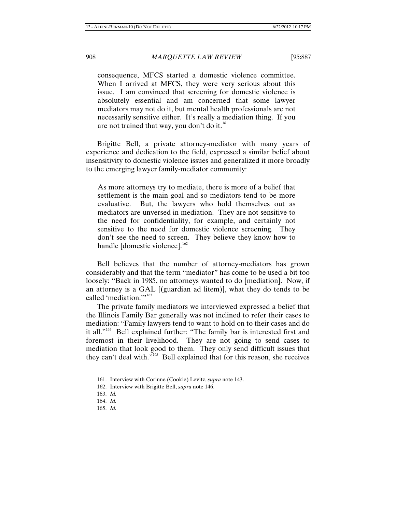consequence, MFCS started a domestic violence committee. When I arrived at MFCS, they were very serious about this issue. I am convinced that screening for domestic violence is absolutely essential and am concerned that some lawyer mediators may not do it, but mental health professionals are not necessarily sensitive either. It's really a mediation thing. If you are not trained that way, you don't do it.<sup>[161](#page-22-0)</sup>

Brigitte Bell, a private attorney-mediator with many years of experience and dedication to the field, expressed a similar belief about insensitivity to domestic violence issues and generalized it more broadly to the emerging lawyer family-mediator community:

As more attorneys try to mediate, there is more of a belief that settlement is the main goal and so mediators tend to be more evaluative. But, the lawyers who hold themselves out as mediators are unversed in mediation. They are not sensitive to the need for confidentiality, for example, and certainly not sensitive to the need for domestic violence screening. They don't see the need to screen. They believe they know how to handle [domestic violence]. $162$ 

Bell believes that the number of attorney-mediators has grown considerably and that the term "mediator" has come to be used a bit too loosely: "Back in 1985, no attorneys wanted to do [mediation]. Now, if an attorney is a GAL [(guardian ad litem)], what they do tends to be called 'mediation."<sup>[163](#page-22-2)</sup>

The private family mediators we interviewed expressed a belief that the Illinois Family Bar generally was not inclined to refer their cases to mediation: "Family lawyers tend to want to hold on to their cases and do it all."<sup>[164](#page-22-3)</sup> Bell explained further: "The family bar is interested first and foremost in their livelihood. They are not going to send cases to mediation that look good to them. They only send difficult issues that they can't deal with."<sup>[165](#page-22-4)</sup> Bell explained that for this reason, she receives

<sup>161.</sup> Interview with Corinne (Cookie) Levitz, *supra* note 143.

<span id="page-22-0"></span><sup>162.</sup> Interview with Brigitte Bell, *supra* note 146.

<span id="page-22-3"></span><span id="page-22-2"></span><span id="page-22-1"></span><sup>163.</sup> *Id.*

<sup>164.</sup> *Id.*

<span id="page-22-4"></span><sup>165.</sup> *Id.*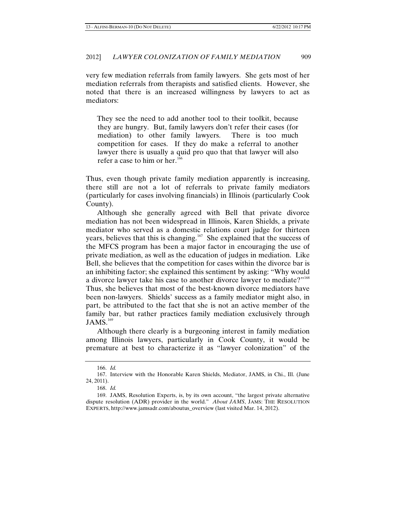very few mediation referrals from family lawyers. She gets most of her mediation referrals from therapists and satisfied clients. However, she noted that there is an increased willingness by lawyers to act as mediators:

They see the need to add another tool to their toolkit, because they are hungry. But, family lawyers don't refer their cases (for mediation) to other family lawyers. There is too much competition for cases. If they do make a referral to another lawyer there is usually a quid pro quo that that lawyer will also refer a case to him or her.<sup>[166](#page-23-0)</sup>

Thus, even though private family mediation apparently is increasing, there still are not a lot of referrals to private family mediators (particularly for cases involving financials) in Illinois (particularly Cook County).

Although she generally agreed with Bell that private divorce mediation has not been widespread in Illinois, Karen Shields, a private mediator who served as a domestic relations court judge for thirteen years, believes that this is changing.<sup>[167](#page-23-1)</sup> She explained that the success of the MFCS program has been a major factor in encouraging the use of private mediation, as well as the education of judges in mediation. Like Bell, she believes that the competition for cases within the divorce bar is an inhibiting factor; she explained this sentiment by asking: "Why would a divorce lawyer take his case to another divorce lawyer to mediate?"<sup>[168](#page-23-2)</sup> Thus, she believes that most of the best-known divorce mediators have been non-lawyers. Shields' success as a family mediator might also, in part, be attributed to the fact that she is not an active member of the family bar, but rather practices family mediation exclusively through  $JAMS.^{169}$  $JAMS.^{169}$  $JAMS.^{169}$ 

Although there clearly is a burgeoning interest in family mediation among Illinois lawyers, particularly in Cook County, it would be premature at best to characterize it as "lawyer colonization" of the

<sup>166.</sup> *Id.*

<span id="page-23-1"></span><span id="page-23-0"></span><sup>167.</sup> Interview with the Honorable Karen Shields, Mediator, JAMS, in Chi., Ill. (June 24, 2011).

<sup>168.</sup> *Id.*

<span id="page-23-3"></span><span id="page-23-2"></span><sup>169.</sup> JAMS, Resolution Experts, is, by its own account, "the largest private alternative dispute resolution (ADR) provider in the world." *About JAMS*, JAMS: THE RESOLUTION EXPERTS, http://www.jamsadr.com/aboutus\_overview (last visited Mar. 14, 2012).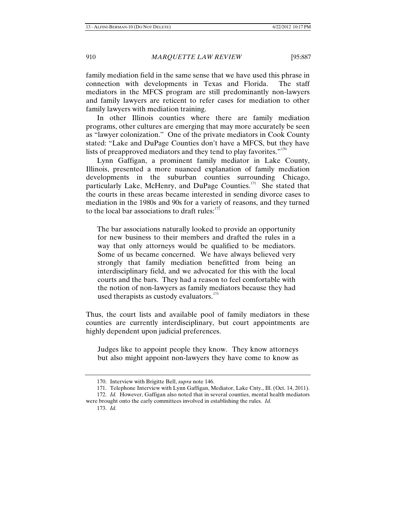family mediation field in the same sense that we have used this phrase in connection with developments in Texas and Florida. The staff mediators in the MFCS program are still predominantly non-lawyers and family lawyers are reticent to refer cases for mediation to other family lawyers with mediation training.

In other Illinois counties where there are family mediation programs, other cultures are emerging that may more accurately be seen as "lawyer colonization." One of the private mediators in Cook County stated: "Lake and DuPage Counties don't have a MFCS, but they have lists of preapproved mediators and they tend to play favorites. $"''$ 

Lynn Gaffigan, a prominent family mediator in Lake County, Illinois, presented a more nuanced explanation of family mediation developments in the suburban counties surrounding Chicago, particularly Lake, McHenry, and DuPage Counties.<sup>[171](#page-24-1)</sup> She stated that the courts in these areas became interested in sending divorce cases to mediation in the 1980s and 90s for a variety of reasons, and they turned to the local bar associations to draft rules:<sup>[172](#page-24-2)</sup>

The bar associations naturally looked to provide an opportunity for new business to their members and drafted the rules in a way that only attorneys would be qualified to be mediators. Some of us became concerned. We have always believed very strongly that family mediation benefitted from being an interdisciplinary field, and we advocated for this with the local courts and the bars. They had a reason to feel comfortable with the notion of non-lawyers as family mediators because they had used therapists as custody evaluators.<sup>[173](#page-24-3)</sup>

Thus, the court lists and available pool of family mediators in these counties are currently interdisciplinary, but court appointments are highly dependent upon judicial preferences.

Judges like to appoint people they know. They know attorneys but also might appoint non-lawyers they have come to know as

<sup>170.</sup> Interview with Brigitte Bell, *supra* note 146.

<sup>171.</sup> Telephone Interview with Lynn Gaffigan, Mediator, Lake Cnty., Ill. (Oct. 14, 2011). 172. *Id.* However, Gaffigan also noted that in several counties, mental health mediators

<span id="page-24-3"></span><span id="page-24-2"></span><span id="page-24-1"></span><span id="page-24-0"></span>were brought onto the early committees involved in establishing the rules. *Id.* 173. *Id.*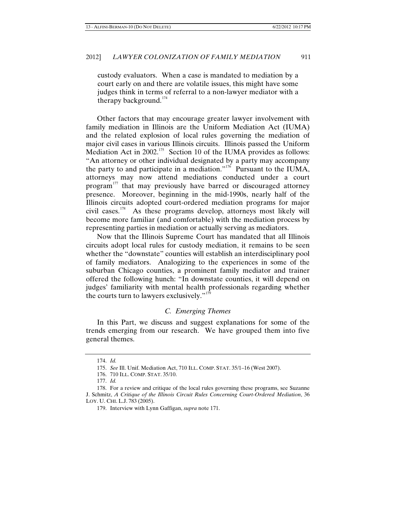custody evaluators. When a case is mandated to mediation by a court early on and there are volatile issues, this might have some judges think in terms of referral to a non-lawyer mediator with a therapy background. $174$ 

Other factors that may encourage greater lawyer involvement with family mediation in Illinois are the Uniform Mediation Act (IUMA) and the related explosion of local rules governing the mediation of major civil cases in various Illinois circuits. Illinois passed the Uniform Mediation Act in 2002.<sup>[175](#page-25-1)</sup> Section 10 of the IUMA provides as follows: "An attorney or other individual designated by a party may accompany the party to and participate in a mediation."<sup>[176](#page-25-2)</sup> Pursuant to the IUMA, attorneys may now attend mediations conducted under a court program<sup>[177](#page-25-3)</sup> that may previously have barred or discouraged attorney presence. Moreover, beginning in the mid-1990s, nearly half of the Illinois circuits adopted court-ordered mediation programs for major civil cases.[178](#page-25-4) As these programs develop, attorneys most likely will become more familiar (and comfortable) with the mediation process by representing parties in mediation or actually serving as mediators.

Now that the Illinois Supreme Court has mandated that all Illinois circuits adopt local rules for custody mediation, it remains to be seen whether the "downstate" counties will establish an interdisciplinary pool of family mediators. Analogizing to the experiences in some of the suburban Chicago counties, a prominent family mediator and trainer offered the following hunch: "In downstate counties, it will depend on judges' familiarity with mental health professionals regarding whether the courts turn to lawyers exclusively." $179$ 

#### *C. Emerging Themes*

In this Part, we discuss and suggest explanations for some of the trends emerging from our research. We have grouped them into five general themes.

<sup>174.</sup> *Id.*

<sup>175.</sup> *See* Ill. Unif. Mediation Act, 710 ILL. COMP. STAT. 35/1–16 (West 2007).

<sup>176.</sup> 710 ILL. COMP. STAT. 35/10.

<sup>177.</sup> *Id.*

<span id="page-25-5"></span><span id="page-25-4"></span><span id="page-25-3"></span><span id="page-25-2"></span><span id="page-25-1"></span><span id="page-25-0"></span><sup>178.</sup> For a review and critique of the local rules governing these programs, see Suzanne J. Schmitz, *A Critique of the Illinois Circuit Rules Concerning Court-Ordered Mediation*, 36 LOY. U. CHI. L.J. 783 (2005).

<sup>179.</sup> Interview with Lynn Gaffigan, *supra* note 171.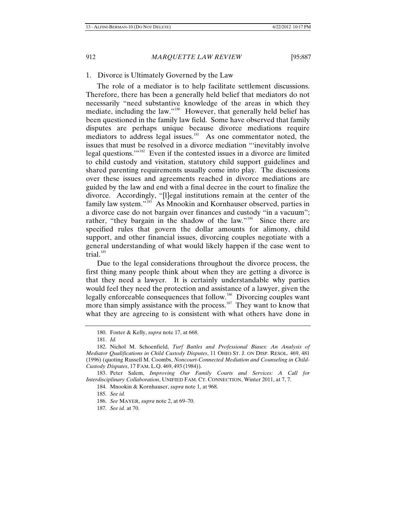# 1. Divorce is Ultimately Governed by the Law

The role of a mediator is to help facilitate settlement discussions. Therefore, there has been a generally held belief that mediators do not necessarily "need substantive knowledge of the areas in which they mediate, including the law."<sup>[180](#page-26-0)</sup> However, that generally held belief has been questioned in the family law field. Some have observed that family disputes are perhaps unique because divorce mediations require mediators to address legal issues.<sup>[181](#page-26-1)</sup> As one commentator noted, the issues that must be resolved in a divorce mediation "'inevitably involve legal questions."<sup>[182](#page-26-2)</sup> Even if the contested issues in a divorce are limited to child custody and visitation, statutory child support guidelines and shared parenting requirements usually come into play. The discussions over these issues and agreements reached in divorce mediations are guided by the law and end with a final decree in the court to finalize the divorce. Accordingly, "[l]egal institutions remain at the center of the family law system."<sup>[183](#page-26-3)</sup> As Mnookin and Kornhauser observed, parties in a divorce case do not bargain over finances and custody "in a vacuum"; rather, "they bargain in the shadow of the law."<sup>[184](#page-26-4)</sup> Since there are specified rules that govern the dollar amounts for alimony, child support, and other financial issues, divorcing couples negotiate with a general understanding of what would likely happen if the case went to trial. $185$ 

Due to the legal considerations throughout the divorce process, the first thing many people think about when they are getting a divorce is that they need a lawyer. It is certainly understandable why parties would feel they need the protection and assistance of a lawyer, given the legally enforceable consequences that follow.<sup>[186](#page-26-6)</sup> Divorcing couples want more than simply assistance with the process.<sup>[187](#page-26-7)</sup> They want to know that what they are agreeing to is consistent with what others have done in

<sup>180.</sup> Foster & Kelly, *supra* note 17, at 668.

<sup>181.</sup> *Id.*

<span id="page-26-2"></span><span id="page-26-1"></span><span id="page-26-0"></span><sup>182.</sup> Nichol M. Schoenfield, *Turf Battles and Professional Biases: An Analysis of Mediator Qualifications in Child Custody Disputes*, 11 OHIO ST. J. ON DISP. RESOL. 469, 481 (1996) (quoting Russell M. Coombs, *Noncourt-Connected Mediation and Counseling in Child-Custody Disputes*, 17 FAM. L.Q. 469, 493 (1984)).

<span id="page-26-7"></span><span id="page-26-6"></span><span id="page-26-5"></span><span id="page-26-4"></span><span id="page-26-3"></span><sup>183.</sup> Peter Salem, *Improving Our Family Courts and Services: A Call for Interdisciplinary Collaboration*, UNIFIED FAM. CT. CONNECTION, Winter 2011, at 7, 7.

<sup>184.</sup> Mnookin & Kornhauser, *supra* note 1, at 968.

<sup>185.</sup> *See id.*

<sup>186.</sup> *See* MAYER, *supra* note 2, at 69–70.

<sup>187.</sup> *See id.* at 70.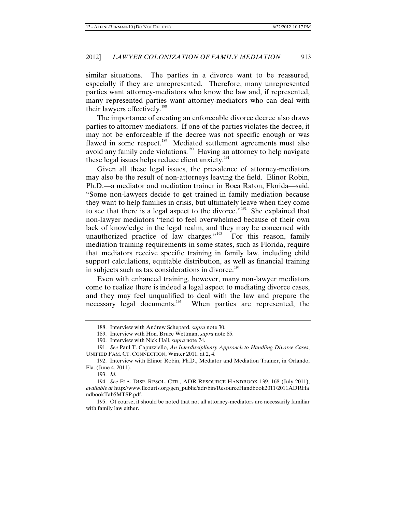similar situations. The parties in a divorce want to be reassured, especially if they are unrepresented. Therefore, many unrepresented parties want attorney-mediators who know the law and, if represented, many represented parties want attorney-mediators who can deal with their lawyers effectively.<sup>[188](#page-27-0)</sup>

The importance of creating an enforceable divorce decree also draws parties to attorney-mediators. If one of the parties violates the decree, it may not be enforceable if the decree was not specific enough or was flawed in some respect.<sup>[189](#page-27-1)</sup> Mediated settlement agreements must also avoid any family code violations.<sup>[190](#page-27-2)</sup> Having an attorney to help navigate these legal issues helps reduce client anxiety.<sup>[191](#page-27-3)</sup>

Given all these legal issues, the prevalence of attorney-mediators may also be the result of non-attorneys leaving the field. Elinor Robin, Ph.D.—a mediator and mediation trainer in Boca Raton, Florida—said, "Some non-lawyers decide to get trained in family mediation because they want to help families in crisis, but ultimately leave when they come to see that there is a legal aspect to the divorce."<sup>[192](#page-27-4)</sup> She explained that non-lawyer mediators "tend to feel overwhelmed because of their own lack of knowledge in the legal realm, and they may be concerned with unauthorized practice of law charges." $193$  For this reason, family mediation training requirements in some states, such as Florida, require that mediators receive specific training in family law, including child support calculations, equitable distribution, as well as financial training in subjects such as tax considerations in divorce.<sup>[194](#page-27-6)</sup>

Even with enhanced training, however, many non-lawyer mediators come to realize there is indeed a legal aspect to mediating divorce cases, and they may feel unqualified to deal with the law and prepare the necessary legal documents.<sup>[195](#page-27-7)</sup> When parties are represented, the

193. *Id.*

<sup>188.</sup> Interview with Andrew Schepard, *supra* note 30.

<sup>189.</sup> Interview with Hon. Bruce Wettman, *supra* note 85.

<sup>190.</sup> Interview with Nick Hall, *supra* note 74.

<span id="page-27-3"></span><span id="page-27-2"></span><span id="page-27-1"></span><span id="page-27-0"></span><sup>191.</sup> *See* Paul T. Capuzziello, *An Interdisciplinary Approach to Handling Divorce Cases*, UNIFIED FAM. CT. CONNECTION, Winter 2011, at 2, 4.

<span id="page-27-4"></span><sup>192.</sup> Interview with Elinor Robin, Ph.D., Mediator and Mediation Trainer, in Orlando, Fla. (June 4, 2011).

<span id="page-27-6"></span><span id="page-27-5"></span><sup>194.</sup> *See* FLA. DISP. RESOL. CTR., ADR RESOURCE HANDBOOK 139, 168 (July 2011), *available at* http://www.flcourts.org/gen\_public/adr/bin/ResourceHandbook2011/2011ADRHa ndbookTab5MTSP.pdf.

<span id="page-27-7"></span><sup>195.</sup> Of course, it should be noted that not all attorney-mediators are necessarily familiar with family law either.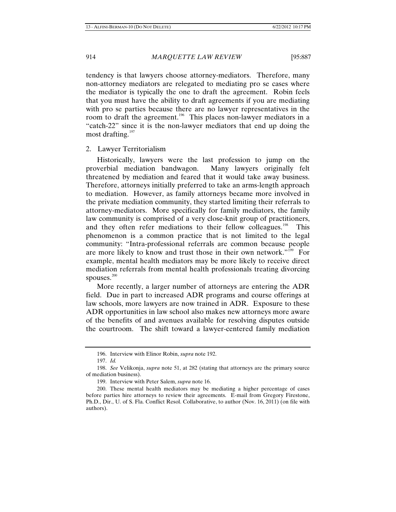tendency is that lawyers choose attorney-mediators. Therefore, many non-attorney mediators are relegated to mediating pro se cases where the mediator is typically the one to draft the agreement. Robin feels that you must have the ability to draft agreements if you are mediating with pro se parties because there are no lawyer representatives in the room to draft the agreement.<sup>[196](#page-28-0)</sup> This places non-lawyer mediators in a "catch-22" since it is the non-lawyer mediators that end up doing the most drafting.<sup>[197](#page-28-1)</sup>

#### 2. Lawyer Territorialism

Historically, lawyers were the last profession to jump on the proverbial mediation bandwagon. Many lawyers originally felt threatened by mediation and feared that it would take away business. Therefore, attorneys initially preferred to take an arms-length approach to mediation. However, as family attorneys became more involved in the private mediation community, they started limiting their referrals to attorney-mediators. More specifically for family mediators, the family law community is comprised of a very close-knit group of practitioners, and they often refer mediations to their fellow colleagues.<sup>[198](#page-28-2)</sup> This phenomenon is a common practice that is not limited to the legal community: "Intra-professional referrals are common because people are more likely to know and trust those in their own network."<sup>[199](#page-28-3)</sup> For example, mental health mediators may be more likely to receive direct mediation referrals from mental health professionals treating divorcing spouses.<sup>[200](#page-28-4)</sup>

More recently, a larger number of attorneys are entering the ADR field. Due in part to increased ADR programs and course offerings at law schools, more lawyers are now trained in ADR. Exposure to these ADR opportunities in law school also makes new attorneys more aware of the benefits of and avenues available for resolving disputes outside the courtroom. The shift toward a lawyer-centered family mediation

<sup>196.</sup> Interview with Elinor Robin, *supra* note 192.

<sup>197.</sup> *Id.*

<span id="page-28-2"></span><span id="page-28-1"></span><span id="page-28-0"></span><sup>198.</sup> *See* Velikonja, *supra* note 51, at 282 (stating that attorneys are the primary source of mediation business).

<sup>199.</sup> Interview with Peter Salem, *supra* note 16.

<span id="page-28-4"></span><span id="page-28-3"></span><sup>200.</sup> These mental health mediators may be mediating a higher percentage of cases before parties hire attorneys to review their agreements. E-mail from Gregory Firestone, Ph.D., Dir., U. of S. Fla. Conflict Resol. Collaborative, to author (Nov. 16, 2011) (on file with authors).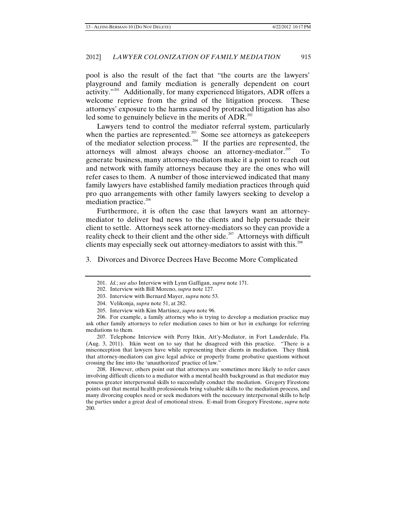pool is also the result of the fact that "the courts are the lawyers' playground and family mediation is generally dependent on court activity."<sup>[201](#page-29-0)</sup> Additionally, for many experienced litigators, ADR offers a welcome reprieve from the grind of the litigation process. These attorneys' exposure to the harms caused by protracted litigation has also led some to genuinely believe in the merits of  $\triangle$ DR.<sup>[202](#page-29-1)</sup>

Lawyers tend to control the mediator referral system, particularly when the parties are represented.<sup>[203](#page-29-2)</sup> Some see attorneys as gatekeepers of the mediator selection process.[204](#page-29-3) If the parties are represented, the attorneys will almost always choose an attorney-mediator.<sup>[205](#page-29-4)</sup> To generate business, many attorney-mediators make it a point to reach out and network with family attorneys because they are the ones who will refer cases to them. A number of those interviewed indicated that many family lawyers have established family mediation practices through quid pro quo arrangements with other family lawyers seeking to develop a mediation practice.<sup>[206](#page-29-5)</sup>

Furthermore, it is often the case that lawyers want an attorneymediator to deliver bad news to the clients and help persuade their client to settle. Attorneys seek attorney-mediators so they can provide a reality check to their client and the other side.<sup>[207](#page-29-6)</sup> Attorneys with difficult clients may especially seek out attorney-mediators to assist with this.<sup>[208](#page-29-7)</sup>

<span id="page-29-0"></span>3. Divorces and Divorce Decrees Have Become More Complicated

<span id="page-29-6"></span>207. Telephone Interview with Perry Itkin, Att'y-Mediator, in Fort Lauderdale, Fla. (Aug. 3, 2011). Itkin went on to say that he disagreed with this practice. "There is a misconception that lawyers have while representing their clients in mediation. They think that attorney-mediators can give legal advice or properly frame probative questions without crossing the line into the 'unauthorized' practice of law."

<span id="page-29-7"></span>208. However, others point out that attorneys are sometimes more likely to refer cases involving difficult clients to a mediator with a mental health background as that mediator may possess greater interpersonal skills to successfully conduct the mediation. Gregory Firestone points out that mental health professionals bring valuable skills to the mediation process, and many divorcing couples need or seek mediators with the necessary interpersonal skills to help the parties under a great deal of emotional stress. E-mail from Gregory Firestone, *supra* note 200.

<sup>201.</sup> *Id.*; *see also* Interview with Lynn Gaffigan, *supra* note 171.

<sup>202.</sup> Interview with Bill Moreno, *supra* note 127.

<sup>203.</sup> Interview with Bernard Mayer, *supra* note 53.

<sup>204.</sup> Velikonja, *supra* note 51, at 282.

<sup>205.</sup> Interview with Kim Martinez, *supra* note 96.

<span id="page-29-5"></span><span id="page-29-4"></span><span id="page-29-3"></span><span id="page-29-2"></span><span id="page-29-1"></span><sup>206.</sup> For example, a family attorney who is trying to develop a mediation practice may ask other family attorneys to refer mediation cases to him or her in exchange for referring mediations to them.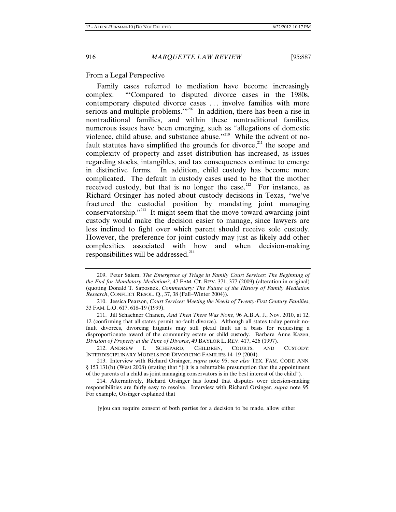# From a Legal Perspective

Family cases referred to mediation have become increasingly complex. "'Compared to disputed divorce cases in the 1980s, contemporary disputed divorce cases . . . involve families with more serious and multiple problems."<sup>[209](#page-30-0)</sup> In addition, there has been a rise in nontraditional families, and within these nontraditional families, numerous issues have been emerging, such as "allegations of domestic violence, child abuse, and substance abuse."[210](#page-30-1) While the advent of nofault statutes have simplified the grounds for divorce, $^{211}$  $^{211}$  $^{211}$  the scope and complexity of property and asset distribution has increased, as issues regarding stocks, intangibles, and tax consequences continue to emerge in distinctive forms. In addition, child custody has become more complicated. The default in custody cases used to be that the mother received custody, but that is no longer the case.<sup>[212](#page-30-3)</sup> For instance, as Richard Orsinger has noted about custody decisions in Texas, "we've fractured the custodial position by mandating joint managing conservatorship."<sup>[213](#page-30-4)</sup> It might seem that the move toward awarding joint custody would make the decision easier to manage, since lawyers are less inclined to fight over which parent should receive sole custody. However, the preference for joint custody may just as likely add other complexities associated with how and when decision-making responsibilities will be addressed.<sup>[214](#page-30-5)</sup>

<span id="page-30-3"></span>212. ANDREW I. SCHEPARD, CHILDREN, COURTS, AND CUSTODY: INTERDISCIPLINARY MODELS FOR DIVORCING FAMILIES 14–19 (2004).

[y]ou can require consent of both parties for a decision to be made, allow either

<span id="page-30-0"></span><sup>209.</sup> Peter Salem, *The Emergence of Triage in Family Court Services: The Beginning of the End for Mandatory Mediation?*, 47 FAM. CT. REV. 371, 377 (2009) (alteration in original) (quoting Donald T. Saposnek, *Commentary: The Future of the History of Family Mediation Research*, CONFLICT RESOL. Q., 37, 38 (Fall–Winter 2004)).

<span id="page-30-1"></span><sup>210.</sup> Jessica Pearson, *Court Services: Meeting the Needs of Twenty-First Century Families*, 33 FAM. L.Q. 617, 618–19 (1999).

<span id="page-30-2"></span><sup>211.</sup> Jill Schachner Chanen, *And Then There Was None*, 96 A.B.A. J., Nov. 2010, at 12, 12 (confirming that all states permit no-fault divorce). Although all states today permit nofault divorces, divorcing litigants may still plead fault as a basis for requesting a disproportionate award of the community estate or child custody.Barbara Anne Kazen, *Division of Property at the Time of Divorce*, 49 BAYLOR L. REV. 417, 426 (1997).

<span id="page-30-4"></span><sup>213.</sup> Interview with Richard Orsinger, *supra* note 95; *see also* TEX. FAM. CODE ANN. § 153.131(b) (West 2008) (stating that "[i]t is a rebuttable presumption that the appointment of the parents of a child as joint managing conservators is in the best interest of the child").

<span id="page-30-5"></span><sup>214.</sup> Alternatively, Richard Orsinger has found that disputes over decision-making responsibilities are fairly easy to resolve. Interview with Richard Orsinger, *supra* note 95. For example, Orsinger explained that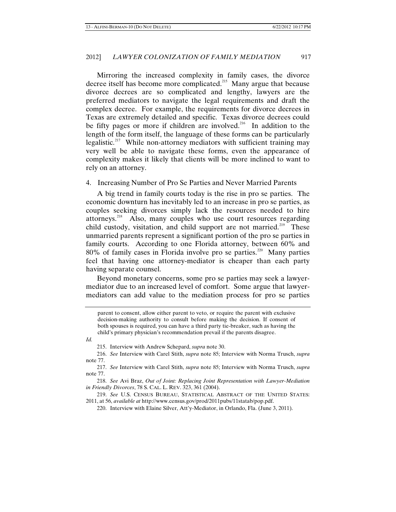Mirroring the increased complexity in family cases, the divorce decree itself has become more complicated.<sup>[215](#page-31-0)</sup> Many argue that because divorce decrees are so complicated and lengthy, lawyers are the preferred mediators to navigate the legal requirements and draft the complex decree. For example, the requirements for divorce decrees in Texas are extremely detailed and specific. Texas divorce decrees could be fifty pages or more if children are involved.<sup>[216](#page-31-1)</sup> In addition to the length of the form itself, the language of these forms can be particularly legalistic.<sup>[217](#page-31-2)</sup> While non-attorney mediators with sufficient training may very well be able to navigate these forms, even the appearance of complexity makes it likely that clients will be more inclined to want to rely on an attorney.

# 4. Increasing Number of Pro Se Parties and Never Married Parents

A big trend in family courts today is the rise in pro se parties. The economic downturn has inevitably led to an increase in pro se parties, as couples seeking divorces simply lack the resources needed to hire attorneys.<sup>[218](#page-31-3)</sup> Also, many couples who use court resources regarding child custody, visitation, and child support are not married.<sup>[219](#page-31-4)</sup> These unmarried parents represent a significant portion of the pro se parties in family courts. According to one Florida attorney, between 60% and  $80\%$  of family cases in Florida involve pro se parties.<sup>[220](#page-31-5)</sup> Many parties feel that having one attorney-mediator is cheaper than each party having separate counsel.

Beyond monetary concerns, some pro se parties may seek a lawyermediator due to an increased level of comfort. Some argue that lawyermediators can add value to the mediation process for pro se parties

<span id="page-31-0"></span>*Id.*

215. Interview with Andrew Schepard, *supra* note 30.

<span id="page-31-1"></span>216. *See* Interview with Carel Stith, *supra* note 85; Interview with Norma Trusch, *supra* note 77.

parent to consent, allow either parent to veto, or require the parent with exclusive decision-making authority to consult before making the decision. If consent of both spouses is required, you can have a third party tie-breaker, such as having the child's primary physician's recommendation prevail if the parents disagree.

<span id="page-31-2"></span><sup>217.</sup> *See* Interview with Carel Stith, *supra* note 85; Interview with Norma Trusch, *supra* note 77.

<span id="page-31-3"></span><sup>218.</sup> *See* Avi Braz, *Out of Joint: Replacing Joint Representation with Lawyer-Mediation in Friendly Divorces*, 78 S. CAL. L. REV. 323, 361 (2004).

<span id="page-31-5"></span><span id="page-31-4"></span><sup>219.</sup> *See* U.S. CENSUS BUREAU, STATISTICAL ABSTRACT OF THE UNITED STATES: 2011, at 56, *available at* http://www.census.gov/prod/2011pubs/11statab/pop.pdf.

<sup>220.</sup> Interview with Elaine Silver, Att'y-Mediator, in Orlando, Fla. (June 3, 2011).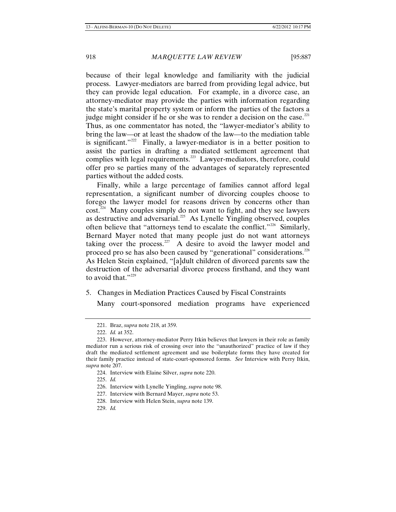because of their legal knowledge and familiarity with the judicial process. Lawyer-mediators are barred from providing legal advice, but they can provide legal education. For example, in a divorce case, an attorney-mediator may provide the parties with information regarding the state's marital property system or inform the parties of the factors a judge might consider if he or she was to render a decision on the case.<sup>[221](#page-32-0)</sup> Thus, as one commentator has noted, the "lawyer-mediator's ability to bring the law—or at least the shadow of the law—to the mediation table is significant."<sup>[222](#page-32-1)</sup> Finally, a lawyer-mediator is in a better position to assist the parties in drafting a mediated settlement agreement that complies with legal requirements.<sup>[223](#page-32-2)</sup> Lawyer-mediators, therefore, could offer pro se parties many of the advantages of separately represented parties without the added costs.

Finally, while a large percentage of families cannot afford legal representation, a significant number of divorcing couples choose to forego the lawyer model for reasons driven by concerns other than  $\cot^{224}$  $\cot^{224}$  $\cot^{224}$  Many couples simply do not want to fight, and they see lawyers as destructive and adversarial.<sup>[225](#page-32-4)</sup> As Lynelle Yingling observed, couples often believe that "attorneys tend to escalate the conflict."<sup>[226](#page-32-5)</sup> Similarly, Bernard Mayer noted that many people just do not want attorneys taking over the process.<sup>[227](#page-32-6)</sup> A desire to avoid the lawyer model and proceed pro se has also been caused by "generational" considerations.<sup>[228](#page-32-7)</sup> As Helen Stein explained, "[a]dult children of divorced parents saw the destruction of the adversarial divorce process firsthand, and they want to avoid that."<sup>[229](#page-32-8)</sup>

5. Changes in Mediation Practices Caused by Fiscal Constraints

Many court-sponsored mediation programs have experienced

225. *Id.*

<sup>221.</sup> Braz, *supra* note 218, at 359.

<sup>222.</sup> *Id.* at 352.

<span id="page-32-4"></span><span id="page-32-3"></span><span id="page-32-2"></span><span id="page-32-1"></span><span id="page-32-0"></span><sup>223.</sup> However, attorney-mediator Perry Itkin believes that lawyers in their role as family mediator run a serious risk of crossing over into the "unauthorized" practice of law if they draft the mediated settlement agreement and use boilerplate forms they have created for their family practice instead of state-court-sponsored forms. *See* Interview with Perry Itkin, *supra* note 207.

<sup>224.</sup> Interview with Elaine Silver, *supra* note 220.

<span id="page-32-5"></span><sup>226.</sup> Interview with Lynelle Yingling, *supra* note 98.

<span id="page-32-6"></span><sup>227.</sup> Interview with Bernard Mayer, *supra* note 53.

<span id="page-32-7"></span><sup>228.</sup> Interview with Helen Stein, *supra* note 139.

<span id="page-32-8"></span><sup>229.</sup> *Id.*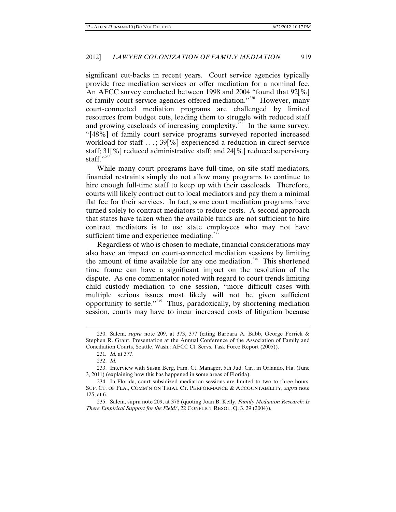significant cut-backs in recent years. Court service agencies typically provide free mediation services or offer mediation for a nominal fee. An AFCC survey conducted between 1998 and 2004 "found that 92[%] of family court service agencies offered mediation."<sup>[230](#page-33-0)</sup> However, many court-connected mediation programs are challenged by limited resources from budget cuts, leading them to struggle with reduced staff and growing caseloads of increasing complexity. $231$  In the same survey, "[48%] of family court service programs surveyed reported increased workload for staff ...; 39[%] experienced a reduction in direct service staff; 31[%] reduced administrative staff; and 24[%] reduced supervisory staff."<sup>[232](#page-33-2)</sup>

While many court programs have full-time, on-site staff mediators, financial restraints simply do not allow many programs to continue to hire enough full-time staff to keep up with their caseloads. Therefore, courts will likely contract out to local mediators and pay them a minimal flat fee for their services. In fact, some court mediation programs have turned solely to contract mediators to reduce costs. A second approach that states have taken when the available funds are not sufficient to hire contract mediators is to use state employees who may not have sufficient time and experience mediating.<sup>[233](#page-33-3)</sup>

Regardless of who is chosen to mediate, financial considerations may also have an impact on court-connected mediation sessions by limiting the amount of time available for any one mediation.<sup>[234](#page-33-4)</sup> This shortened time frame can have a significant impact on the resolution of the dispute. As one commentator noted with regard to court trends limiting child custody mediation to one session, "more difficult cases with multiple serious issues most likely will not be given sufficient opportunity to settle."<sup>[235](#page-33-5)</sup> Thus, paradoxically, by shortening mediation session, courts may have to incur increased costs of litigation because

<span id="page-33-0"></span><sup>230.</sup> Salem, *supra* note 209, at 373, 377 (citing Barbara A. Babb, George Ferrick & Stephen R. Grant, Presentation at the Annual Conference of the Association of Family and Conciliation Courts, Seattle, Wash.: AFCC Ct. Servs. Task Force Report (2005)).

<sup>231</sup>*. Id.* at 377.

<sup>232.</sup> *Id.*

<span id="page-33-3"></span><span id="page-33-2"></span><span id="page-33-1"></span><sup>233.</sup> Interview with Susan Berg, Fam. Ct. Manager, 5th Jud. Cir., in Orlando, Fla. (June 3, 2011) (explaining how this has happened in some areas of Florida).

<span id="page-33-4"></span><sup>234.</sup> In Florida, court subsidized mediation sessions are limited to two to three hours. SUP. CT. OF FLA., COMM'N ON TRIAL CT. PERFORMANCE & ACCOUNTABILITY, *supra* note 125, at 6.

<span id="page-33-5"></span><sup>235.</sup> Salem, supra note 209, at 378 (quoting Joan B. Kelly, *Family Mediation Research: Is There Empirical Support for the Field?*, 22 CONFLICT RESOL. Q. 3, 29 (2004)).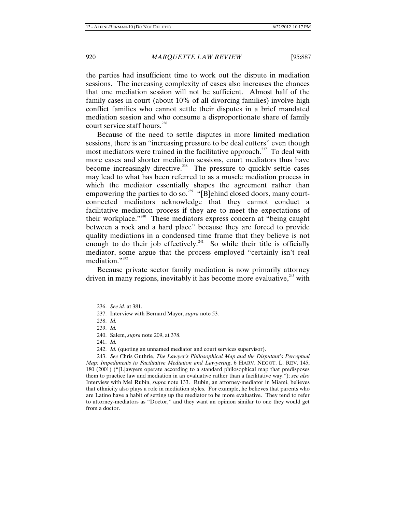the parties had insufficient time to work out the dispute in mediation sessions. The increasing complexity of cases also increases the chances that one mediation session will not be sufficient. Almost half of the family cases in court (about 10% of all divorcing families) involve high conflict families who cannot settle their disputes in a brief mandated mediation session and who consume a disproportionate share of family court service staff hours.<sup>[236](#page-34-0)</sup>

Because of the need to settle disputes in more limited mediation sessions, there is an "increasing pressure to be deal cutters" even though most mediators were trained in the facilitative approach.<sup>[237](#page-34-1)</sup> To deal with more cases and shorter mediation sessions, court mediators thus have become increasingly directive.<sup>[238](#page-34-2)</sup> The pressure to quickly settle cases may lead to what has been referred to as a muscle mediation process in which the mediator essentially shapes the agreement rather than empowering the parties to do so.<sup>[239](#page-34-3)</sup> "[B]ehind closed doors, many courtconnected mediators acknowledge that they cannot conduct a facilitative mediation process if they are to meet the expectations of their workplace."[240](#page-34-4) These mediators express concern at "being caught between a rock and a hard place" because they are forced to provide quality mediations in a condensed time frame that they believe is not enough to do their job effectively.<sup>[241](#page-34-5)</sup> So while their title is officially mediator, some argue that the process employed "certainly isn't real mediation."<sup>[242](#page-34-6)</sup>

<span id="page-34-0"></span>Because private sector family mediation is now primarily attorney driven in many regions, inevitably it has become more evaluative,  $243$  with

<span id="page-34-1"></span><sup>236.</sup> *See id.* at 381.

<sup>237.</sup> Interview with Bernard Mayer, *supra* note 53.

<sup>238.</sup> *Id.*

<sup>239.</sup> *Id.*

<sup>240.</sup> Salem, *supra* note 209, at 378.

<sup>241.</sup> *Id.*

<sup>242.</sup> *Id.* (quoting an unnamed mediator and court services supervisor).

<span id="page-34-7"></span><span id="page-34-6"></span><span id="page-34-5"></span><span id="page-34-4"></span><span id="page-34-3"></span><span id="page-34-2"></span><sup>243.</sup> *See* Chris Guthrie, *The Lawyer's Philosophical Map and the Disputant's Perceptual Map: Impediments to Facilitative Mediation and Lawyering*, 6 HARV. NEGOT. L. REV. 145, 180 (2001) ("[L]awyers operate according to a standard philosophical map that predisposes them to practice law and mediation in an evaluative rather than a facilitative way."); *see also* Interview with Mel Rubin, *supra* note 133. Rubin, an attorney-mediator in Miami, believes that ethnicity also plays a role in mediation styles. For example, he believes that parents who are Latino have a habit of setting up the mediator to be more evaluative. They tend to refer to attorney-mediators as "Doctor," and they want an opinion similar to one they would get from a doctor.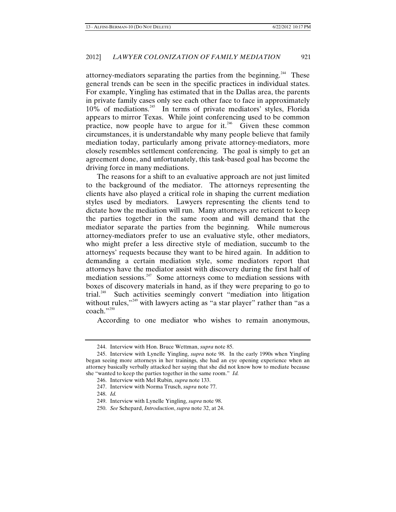attorney-mediators separating the parties from the beginning.<sup>[244](#page-35-0)</sup> These general trends can be seen in the specific practices in individual states. For example, Yingling has estimated that in the Dallas area, the parents in private family cases only see each other face to face in approximately 10% of mediations.[245](#page-35-1) In terms of private mediators' styles, Florida appears to mirror Texas. While joint conferencing used to be common practice, now people have to argue for it.<sup>[246](#page-35-2)</sup> Given these common circumstances, it is understandable why many people believe that family mediation today, particularly among private attorney-mediators, more closely resembles settlement conferencing. The goal is simply to get an agreement done, and unfortunately, this task-based goal has become the driving force in many mediations.

The reasons for a shift to an evaluative approach are not just limited to the background of the mediator. The attorneys representing the clients have also played a critical role in shaping the current mediation styles used by mediators. Lawyers representing the clients tend to dictate how the mediation will run. Many attorneys are reticent to keep the parties together in the same room and will demand that the mediator separate the parties from the beginning. While numerous attorney-mediators prefer to use an evaluative style, other mediators, who might prefer a less directive style of mediation, succumb to the attorneys' requests because they want to be hired again. In addition to demanding a certain mediation style, some mediators report that attorneys have the mediator assist with discovery during the first half of mediation sessions.<sup>[247](#page-35-3)</sup> Some attorneys come to mediation sessions with boxes of discovery materials in hand, as if they were preparing to go to trial.<sup>[248](#page-35-4)</sup> Such activities seemingly convert "mediation into litigation without rules,"<sup>[249](#page-35-5)</sup> with lawyers acting as "a star player" rather than "as a coach."<sup>[250](#page-35-6)</sup>

According to one mediator who wishes to remain anonymous,

<sup>244.</sup> Interview with Hon. Bruce Wettman, *supra* note 85.

<span id="page-35-4"></span><span id="page-35-3"></span><span id="page-35-2"></span><span id="page-35-1"></span><span id="page-35-0"></span><sup>245.</sup> Interview with Lynelle Yingling, *supra* note 98. In the early 1990s when Yingling began seeing more attorneys in her trainings, she had an eye opening experience when an attorney basically verbally attacked her saying that she did not know how to mediate because she "wanted to keep the parties together in the same room." *Id.*

<sup>246.</sup> Interview with Mel Rubin, *supra* note 133.

<sup>247.</sup> Interview with Norma Trusch, *supra* note 77.

<sup>248.</sup> *Id.*

<span id="page-35-5"></span><sup>249.</sup> Interview with Lynelle Yingling, *supra* note 98.

<span id="page-35-6"></span><sup>250.</sup> *See* Schepard, *Introduction*, *supra* note 32, at 24.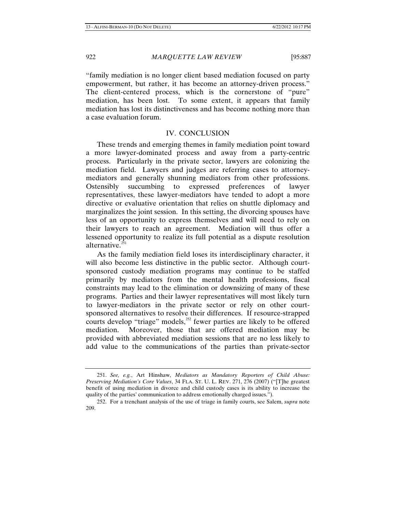"family mediation is no longer client based mediation focused on party empowerment, but rather, it has become an attorney-driven process." The client-centered process, which is the cornerstone of "pure" mediation, has been lost. To some extent, it appears that family mediation has lost its distinctiveness and has become nothing more than a case evaluation forum.

# IV. CONCLUSION

These trends and emerging themes in family mediation point toward a more lawyer-dominated process and away from a party-centric process. Particularly in the private sector, lawyers are colonizing the mediation field. Lawyers and judges are referring cases to attorneymediators and generally shunning mediators from other professions. Ostensibly succumbing to expressed preferences of lawyer representatives, these lawyer-mediators have tended to adopt a more directive or evaluative orientation that relies on shuttle diplomacy and marginalizes the joint session. In this setting, the divorcing spouses have less of an opportunity to express themselves and will need to rely on their lawyers to reach an agreement. Mediation will thus offer a lessened opportunity to realize its full potential as a dispute resolution alternative.<sup>2</sup>

As the family mediation field loses its interdisciplinary character, it will also become less distinctive in the public sector. Although courtsponsored custody mediation programs may continue to be staffed primarily by mediators from the mental health professions, fiscal constraints may lead to the elimination or downsizing of many of these programs. Parties and their lawyer representatives will most likely turn to lawyer-mediators in the private sector or rely on other courtsponsored alternatives to resolve their differences. If resource-strapped courts develop "triage" models, $^{252}$  $^{252}$  $^{252}$  fewer parties are likely to be offered mediation. Moreover, those that are offered mediation may be provided with abbreviated mediation sessions that are no less likely to add value to the communications of the parties than private-sector

<span id="page-36-0"></span><sup>251.</sup> *See, e.g.*, Art Hinshaw, *Mediators as Mandatory Reporters of Child Abuse: Preserving Mediation's Core Values*, 34 FLA. ST. U. L. REV. 271, 276 (2007) ("[T]he greatest benefit of using mediation in divorce and child custody cases is its ability to increase the quality of the parties' communication to address emotionally charged issues.").

<span id="page-36-1"></span><sup>252.</sup> For a trenchant analysis of the use of triage in family courts, see Salem, *supra* note 209.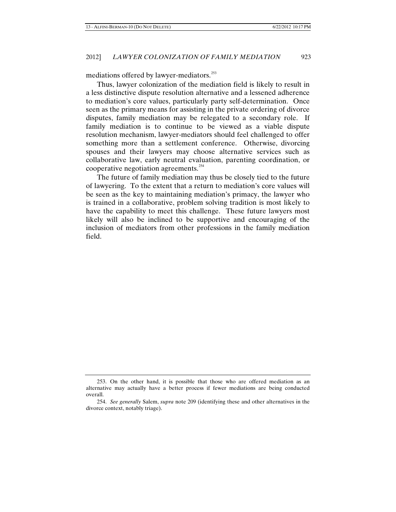mediations offered by lawyer-mediators.<sup>[253](#page-37-0)</sup>

Thus, lawyer colonization of the mediation field is likely to result in a less distinctive dispute resolution alternative and a lessened adherence to mediation's core values, particularly party self-determination. Once seen as the primary means for assisting in the private ordering of divorce disputes, family mediation may be relegated to a secondary role. If family mediation is to continue to be viewed as a viable dispute resolution mechanism, lawyer-mediators should feel challenged to offer something more than a settlement conference. Otherwise, divorcing spouses and their lawyers may choose alternative services such as collaborative law, early neutral evaluation, parenting coordination, or cooperative negotiation agreements. $254$ 

The future of family mediation may thus be closely tied to the future of lawyering. To the extent that a return to mediation's core values will be seen as the key to maintaining mediation's primacy, the lawyer who is trained in a collaborative, problem solving tradition is most likely to have the capability to meet this challenge. These future lawyers most likely will also be inclined to be supportive and encouraging of the inclusion of mediators from other professions in the family mediation field.

<span id="page-37-0"></span><sup>253.</sup> On the other hand, it is possible that those who are offered mediation as an alternative may actually have a better process if fewer mediations are being conducted overall.

<span id="page-37-1"></span><sup>254.</sup> *See generally* Salem, *supra* note 209 (identifying these and other alternatives in the divorce context, notably triage).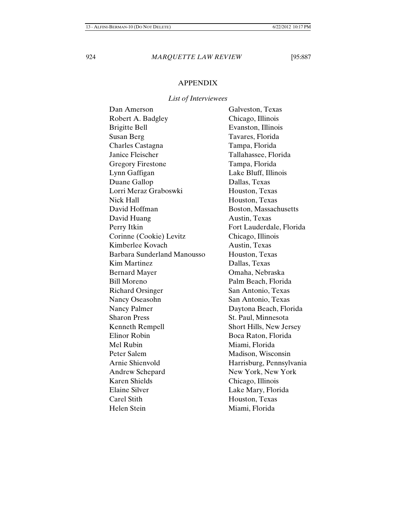# APPENDIX

# *List of Interviewees*

| Dan Amerson                 | Galveston, Texas         |
|-----------------------------|--------------------------|
| Robert A. Badgley           | Chicago, Illinois        |
| <b>Brigitte Bell</b>        | Evanston, Illinois       |
| Susan Berg                  | Tavares, Florida         |
| Charles Castagna            | Tampa, Florida           |
| Janice Fleischer            | Tallahassee, Florida     |
| <b>Gregory Firestone</b>    | Tampa, Florida           |
| Lynn Gaffigan               | Lake Bluff, Illinois     |
| Duane Gallop                | Dallas, Texas            |
| Lorri Meraz Graboswki       | Houston, Texas           |
| Nick Hall                   | Houston, Texas           |
| David Hoffman               | Boston, Massachusetts    |
| David Huang                 | Austin, Texas            |
| Perry Itkin                 | Fort Lauderdale, Florida |
| Corinne (Cookie) Levitz     | Chicago, Illinois        |
| Kimberlee Kovach            | Austin, Texas            |
| Barbara Sunderland Manousso | Houston, Texas           |
| <b>Kim Martinez</b>         | Dallas, Texas            |
| <b>Bernard Mayer</b>        | Omaha, Nebraska          |
| <b>Bill Moreno</b>          | Palm Beach, Florida      |
| <b>Richard Orsinger</b>     | San Antonio, Texas       |
| Nancy Oseasohn              | San Antonio, Texas       |
| Nancy Palmer                | Daytona Beach, Florida   |
| <b>Sharon Press</b>         | St. Paul, Minnesota      |
| Kenneth Rempell             | Short Hills, New Jersey  |
| Elinor Robin                | Boca Raton, Florida      |
| Mel Rubin                   | Miami, Florida           |
| Peter Salem                 | Madison, Wisconsin       |
| Arnie Shienvold             | Harrisburg, Pennsylvania |
| Andrew Schepard             | New York, New York       |
| <b>Karen Shields</b>        | Chicago, Illinois        |
| <b>Elaine Silver</b>        | Lake Mary, Florida       |
| Carel Stith                 | Houston, Texas           |
| <b>Helen Stein</b>          | Miami, Florida           |